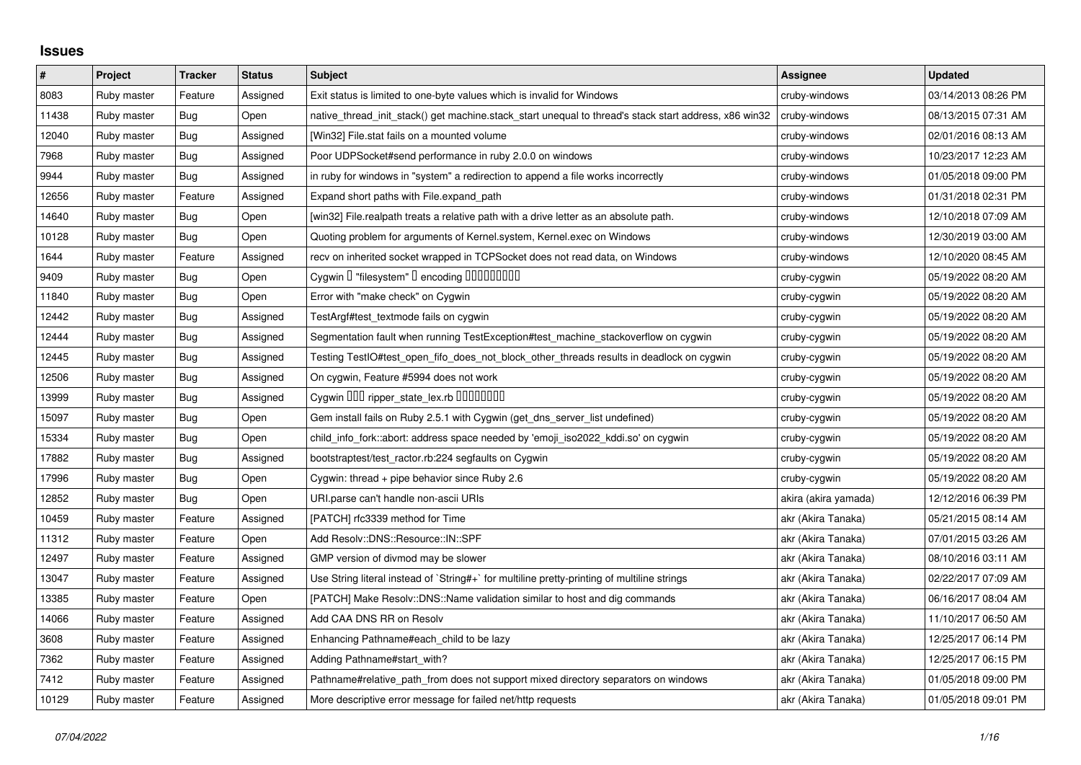## **Issues**

| $\pmb{\#}$ | Project     | <b>Tracker</b> | <b>Status</b> | <b>Subject</b>                                                                                        | <b>Assignee</b>      | <b>Updated</b>      |
|------------|-------------|----------------|---------------|-------------------------------------------------------------------------------------------------------|----------------------|---------------------|
| 8083       | Ruby master | Feature        | Assigned      | Exit status is limited to one-byte values which is invalid for Windows                                | cruby-windows        | 03/14/2013 08:26 PM |
| 11438      | Ruby master | Bug            | Open          | native_thread_init_stack() get machine.stack_start unequal to thread's stack start address, x86 win32 | cruby-windows        | 08/13/2015 07:31 AM |
| 12040      | Ruby master | Bug            | Assigned      | [Win32] File.stat fails on a mounted volume                                                           | cruby-windows        | 02/01/2016 08:13 AM |
| 7968       | Ruby master | Bug            | Assigned      | Poor UDPSocket#send performance in ruby 2.0.0 on windows                                              | cruby-windows        | 10/23/2017 12:23 AM |
| 9944       | Ruby master | Bug            | Assigned      | in ruby for windows in "system" a redirection to append a file works incorrectly                      | cruby-windows        | 01/05/2018 09:00 PM |
| 12656      | Ruby master | Feature        | Assigned      | Expand short paths with File.expand_path                                                              | cruby-windows        | 01/31/2018 02:31 PM |
| 14640      | Ruby master | Bug            | Open          | [win32] File.realpath treats a relative path with a drive letter as an absolute path.                 | cruby-windows        | 12/10/2018 07:09 AM |
| 10128      | Ruby master | Bug            | Open          | Quoting problem for arguments of Kernel.system, Kernel.exec on Windows                                | cruby-windows        | 12/30/2019 03:00 AM |
| 1644       | Ruby master | Feature        | Assigned      | recv on inherited socket wrapped in TCPSocket does not read data, on Windows                          | cruby-windows        | 12/10/2020 08:45 AM |
| 9409       | Ruby master | Bug            | Open          | Cygwin I "filesystem" I encoding IIIIIIIIIIIII                                                        | cruby-cygwin         | 05/19/2022 08:20 AM |
| 11840      | Ruby master | Bug            | Open          | Error with "make check" on Cygwin                                                                     | cruby-cygwin         | 05/19/2022 08:20 AM |
| 12442      | Ruby master | <b>Bug</b>     | Assigned      | TestArgf#test_textmode fails on cygwin                                                                | cruby-cygwin         | 05/19/2022 08:20 AM |
| 12444      | Ruby master | <b>Bug</b>     | Assigned      | Segmentation fault when running TestException#test_machine_stackoverflow on cygwin                    | cruby-cygwin         | 05/19/2022 08:20 AM |
| 12445      | Ruby master | Bug            | Assigned      | Testing TestIO#test_open_fifo_does_not_block_other_threads results in deadlock on cygwin              | cruby-cygwin         | 05/19/2022 08:20 AM |
| 12506      | Ruby master | Bug            | Assigned      | On cygwin, Feature #5994 does not work                                                                | cruby-cygwin         | 05/19/2022 08:20 AM |
| 13999      | Ruby master | <b>Bug</b>     | Assigned      | Cygwin 000 ripper_state_lex.rb 0000000                                                                | cruby-cygwin         | 05/19/2022 08:20 AM |
| 15097      | Ruby master | <b>Bug</b>     | Open          | Gem install fails on Ruby 2.5.1 with Cygwin (get_dns_server_list undefined)                           | cruby-cygwin         | 05/19/2022 08:20 AM |
| 15334      | Ruby master | Bug            | Open          | child info fork::abort: address space needed by 'emoji iso2022 kddi.so' on cygwin                     | cruby-cygwin         | 05/19/2022 08:20 AM |
| 17882      | Ruby master | Bug            | Assigned      | bootstraptest/test_ractor.rb:224 segfaults on Cygwin                                                  | cruby-cygwin         | 05/19/2022 08:20 AM |
| 17996      | Ruby master | <b>Bug</b>     | Open          | Cygwin: thread + pipe behavior since Ruby 2.6                                                         | cruby-cygwin         | 05/19/2022 08:20 AM |
| 12852      | Ruby master | Bug            | Open          | URI.parse can't handle non-ascii URIs                                                                 | akira (akira yamada) | 12/12/2016 06:39 PM |
| 10459      | Ruby master | Feature        | Assigned      | [PATCH] rfc3339 method for Time                                                                       | akr (Akira Tanaka)   | 05/21/2015 08:14 AM |
| 11312      | Ruby master | Feature        | Open          | Add Resolv::DNS::Resource::IN::SPF                                                                    | akr (Akira Tanaka)   | 07/01/2015 03:26 AM |
| 12497      | Ruby master | Feature        | Assigned      | GMP version of divmod may be slower                                                                   | akr (Akira Tanaka)   | 08/10/2016 03:11 AM |
| 13047      | Ruby master | Feature        | Assigned      | Use String literal instead of `String#+` for multiline pretty-printing of multiline strings           | akr (Akira Tanaka)   | 02/22/2017 07:09 AM |
| 13385      | Ruby master | Feature        | Open          | [PATCH] Make Resolv::DNS::Name validation similar to host and dig commands                            | akr (Akira Tanaka)   | 06/16/2017 08:04 AM |
| 14066      | Ruby master | Feature        | Assigned      | Add CAA DNS RR on Resolv                                                                              | akr (Akira Tanaka)   | 11/10/2017 06:50 AM |
| 3608       | Ruby master | Feature        | Assigned      | Enhancing Pathname#each_child to be lazy                                                              | akr (Akira Tanaka)   | 12/25/2017 06:14 PM |
| 7362       | Ruby master | Feature        | Assigned      | Adding Pathname#start_with?                                                                           | akr (Akira Tanaka)   | 12/25/2017 06:15 PM |
| 7412       | Ruby master | Feature        | Assigned      | Pathname#relative_path_from does not support mixed directory separators on windows                    | akr (Akira Tanaka)   | 01/05/2018 09:00 PM |
| 10129      | Ruby master | Feature        | Assigned      | More descriptive error message for failed net/http requests                                           | akr (Akira Tanaka)   | 01/05/2018 09:01 PM |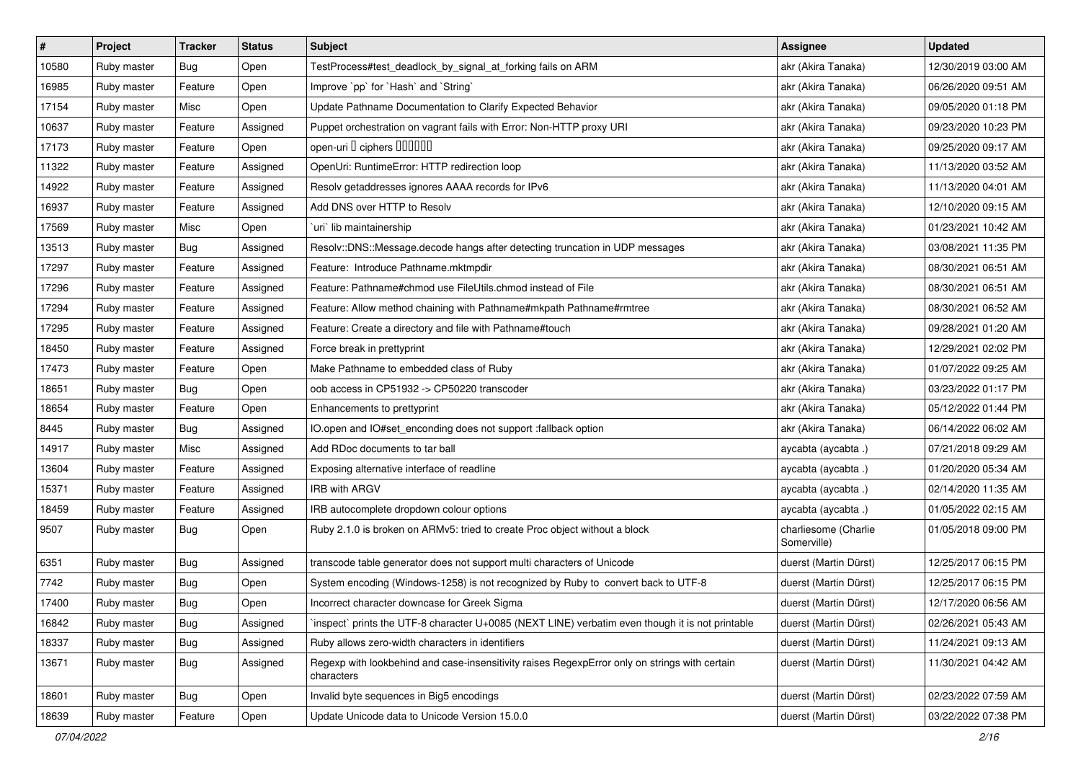| $\sharp$ | Project     | <b>Tracker</b> | <b>Status</b> | <b>Subject</b>                                                                                              | <b>Assignee</b>                     | <b>Updated</b>      |
|----------|-------------|----------------|---------------|-------------------------------------------------------------------------------------------------------------|-------------------------------------|---------------------|
| 10580    | Ruby master | <b>Bug</b>     | Open          | TestProcess#test_deadlock_by_signal_at_forking fails on ARM                                                 | akr (Akira Tanaka)                  | 12/30/2019 03:00 AM |
| 16985    | Ruby master | Feature        | Open          | Improve `pp` for `Hash` and `String`                                                                        | akr (Akira Tanaka)                  | 06/26/2020 09:51 AM |
| 17154    | Ruby master | Misc           | Open          | Update Pathname Documentation to Clarify Expected Behavior                                                  | akr (Akira Tanaka)                  | 09/05/2020 01:18 PM |
| 10637    | Ruby master | Feature        | Assigned      | Puppet orchestration on vagrant fails with Error: Non-HTTP proxy URI                                        | akr (Akira Tanaka)                  | 09/23/2020 10:23 PM |
| 17173    | Ruby master | Feature        | Open          | open-uri I ciphers IIIIIII                                                                                  | akr (Akira Tanaka)                  | 09/25/2020 09:17 AM |
| 11322    | Ruby master | Feature        | Assigned      | OpenUri: RuntimeError: HTTP redirection loop                                                                | akr (Akira Tanaka)                  | 11/13/2020 03:52 AM |
| 14922    | Ruby master | Feature        | Assigned      | Resolv getaddresses ignores AAAA records for IPv6                                                           | akr (Akira Tanaka)                  | 11/13/2020 04:01 AM |
| 16937    | Ruby master | Feature        | Assigned      | Add DNS over HTTP to Resolv                                                                                 | akr (Akira Tanaka)                  | 12/10/2020 09:15 AM |
| 17569    | Ruby master | Misc           | Open          | uri lib maintainership                                                                                      | akr (Akira Tanaka)                  | 01/23/2021 10:42 AM |
| 13513    | Ruby master | Bug            | Assigned      | Resolv::DNS::Message.decode hangs after detecting truncation in UDP messages                                | akr (Akira Tanaka)                  | 03/08/2021 11:35 PM |
| 17297    | Ruby master | Feature        | Assigned      | Feature: Introduce Pathname.mktmpdir                                                                        | akr (Akira Tanaka)                  | 08/30/2021 06:51 AM |
| 17296    | Ruby master | Feature        | Assigned      | Feature: Pathname#chmod use FileUtils.chmod instead of File                                                 | akr (Akira Tanaka)                  | 08/30/2021 06:51 AM |
| 17294    | Ruby master | Feature        | Assigned      | Feature: Allow method chaining with Pathname#mkpath Pathname#rmtree                                         | akr (Akira Tanaka)                  | 08/30/2021 06:52 AM |
| 17295    | Ruby master | Feature        | Assigned      | Feature: Create a directory and file with Pathname#touch                                                    | akr (Akira Tanaka)                  | 09/28/2021 01:20 AM |
| 18450    | Ruby master | Feature        | Assigned      | Force break in prettyprint                                                                                  | akr (Akira Tanaka)                  | 12/29/2021 02:02 PM |
| 17473    | Ruby master | Feature        | Open          | Make Pathname to embedded class of Ruby                                                                     | akr (Akira Tanaka)                  | 01/07/2022 09:25 AM |
| 18651    | Ruby master | <b>Bug</b>     | Open          | oob access in CP51932 -> CP50220 transcoder                                                                 | akr (Akira Tanaka)                  | 03/23/2022 01:17 PM |
| 18654    | Ruby master | Feature        | Open          | Enhancements to prettyprint                                                                                 | akr (Akira Tanaka)                  | 05/12/2022 01:44 PM |
| 8445     | Ruby master | <b>Bug</b>     | Assigned      | IO.open and IO#set_enconding does not support :fallback option                                              | akr (Akira Tanaka)                  | 06/14/2022 06:02 AM |
| 14917    | Ruby master | Misc           | Assigned      | Add RDoc documents to tar ball                                                                              | aycabta (aycabta .)                 | 07/21/2018 09:29 AM |
| 13604    | Ruby master | Feature        | Assigned      | Exposing alternative interface of readline                                                                  | aycabta (aycabta .)                 | 01/20/2020 05:34 AM |
| 15371    | Ruby master | Feature        | Assigned      | <b>IRB with ARGV</b>                                                                                        | aycabta (aycabta .)                 | 02/14/2020 11:35 AM |
| 18459    | Ruby master | Feature        | Assigned      | IRB autocomplete dropdown colour options                                                                    | aycabta (aycabta .)                 | 01/05/2022 02:15 AM |
| 9507     | Ruby master | <b>Bug</b>     | Open          | Ruby 2.1.0 is broken on ARMv5: tried to create Proc object without a block                                  | charliesome (Charlie<br>Somerville) | 01/05/2018 09:00 PM |
| 6351     | Ruby master | <b>Bug</b>     | Assigned      | transcode table generator does not support multi characters of Unicode                                      | duerst (Martin Dürst)               | 12/25/2017 06:15 PM |
| 7742     | Ruby master | Bug            | Open          | System encoding (Windows-1258) is not recognized by Ruby to convert back to UTF-8                           | duerst (Martin Dürst)               | 12/25/2017 06:15 PM |
| 17400    | Ruby master | <b>Bug</b>     | Open          | Incorrect character downcase for Greek Sigma                                                                | duerst (Martin Dürst)               | 12/17/2020 06:56 AM |
| 16842    | Ruby master | Bug            | Assigned      | inspect` prints the UTF-8 character U+0085 (NEXT LINE) verbatim even though it is not printable             | duerst (Martin Dürst)               | 02/26/2021 05:43 AM |
| 18337    | Ruby master | <b>Bug</b>     | Assigned      | Ruby allows zero-width characters in identifiers                                                            | duerst (Martin Dürst)               | 11/24/2021 09:13 AM |
| 13671    | Ruby master | Bug            | Assigned      | Regexp with lookbehind and case-insensitivity raises RegexpError only on strings with certain<br>characters | duerst (Martin Dürst)               | 11/30/2021 04:42 AM |
| 18601    | Ruby master | Bug            | Open          | Invalid byte sequences in Big5 encodings                                                                    | duerst (Martin Dürst)               | 02/23/2022 07:59 AM |
| 18639    | Ruby master | Feature        | Open          | Update Unicode data to Unicode Version 15.0.0                                                               | duerst (Martin Dürst)               | 03/22/2022 07:38 PM |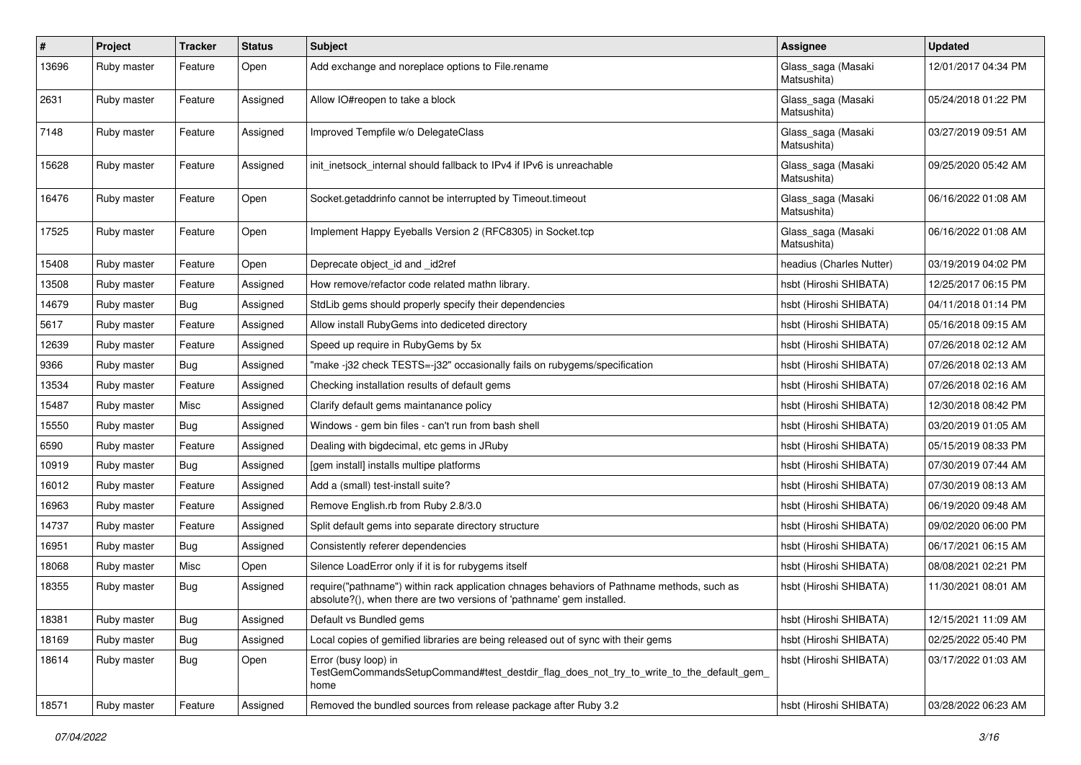| $\sharp$ | Project     | <b>Tracker</b> | <b>Status</b> | <b>Subject</b>                                                                                                                                                      | Assignee                          | <b>Updated</b>      |
|----------|-------------|----------------|---------------|---------------------------------------------------------------------------------------------------------------------------------------------------------------------|-----------------------------------|---------------------|
| 13696    | Ruby master | Feature        | Open          | Add exchange and noreplace options to File.rename                                                                                                                   | Glass_saga (Masaki<br>Matsushita) | 12/01/2017 04:34 PM |
| 2631     | Ruby master | Feature        | Assigned      | Allow IO#reopen to take a block                                                                                                                                     | Glass_saga (Masaki<br>Matsushita) | 05/24/2018 01:22 PM |
| 7148     | Ruby master | Feature        | Assigned      | Improved Tempfile w/o DelegateClass                                                                                                                                 | Glass_saga (Masaki<br>Matsushita) | 03/27/2019 09:51 AM |
| 15628    | Ruby master | Feature        | Assigned      | init_inetsock_internal should fallback to IPv4 if IPv6 is unreachable                                                                                               | Glass_saga (Masaki<br>Matsushita) | 09/25/2020 05:42 AM |
| 16476    | Ruby master | Feature        | Open          | Socket.getaddrinfo cannot be interrupted by Timeout.timeout                                                                                                         | Glass_saga (Masaki<br>Matsushita) | 06/16/2022 01:08 AM |
| 17525    | Ruby master | Feature        | Open          | Implement Happy Eyeballs Version 2 (RFC8305) in Socket.tcp                                                                                                          | Glass_saga (Masaki<br>Matsushita) | 06/16/2022 01:08 AM |
| 15408    | Ruby master | Feature        | Open          | Deprecate object id and id2ref                                                                                                                                      | headius (Charles Nutter)          | 03/19/2019 04:02 PM |
| 13508    | Ruby master | Feature        | Assigned      | How remove/refactor code related mathn library.                                                                                                                     | hsbt (Hiroshi SHIBATA)            | 12/25/2017 06:15 PM |
| 14679    | Ruby master | Bug            | Assigned      | StdLib gems should properly specify their dependencies                                                                                                              | hsbt (Hiroshi SHIBATA)            | 04/11/2018 01:14 PM |
| 5617     | Ruby master | Feature        | Assigned      | Allow install RubyGems into dediceted directory                                                                                                                     | hsbt (Hiroshi SHIBATA)            | 05/16/2018 09:15 AM |
| 12639    | Ruby master | Feature        | Assigned      | Speed up require in RubyGems by 5x                                                                                                                                  | hsbt (Hiroshi SHIBATA)            | 07/26/2018 02:12 AM |
| 9366     | Ruby master | Bug            | Assigned      | "make-j32 check TESTS=-j32" occasionally fails on rubygems/specification                                                                                            | hsbt (Hiroshi SHIBATA)            | 07/26/2018 02:13 AM |
| 13534    | Ruby master | Feature        | Assigned      | Checking installation results of default gems                                                                                                                       | hsbt (Hiroshi SHIBATA)            | 07/26/2018 02:16 AM |
| 15487    | Ruby master | Misc           | Assigned      | Clarify default gems maintanance policy                                                                                                                             | hsbt (Hiroshi SHIBATA)            | 12/30/2018 08:42 PM |
| 15550    | Ruby master | Bug            | Assigned      | Windows - gem bin files - can't run from bash shell                                                                                                                 | hsbt (Hiroshi SHIBATA)            | 03/20/2019 01:05 AM |
| 6590     | Ruby master | Feature        | Assigned      | Dealing with bigdecimal, etc gems in JRuby                                                                                                                          | hsbt (Hiroshi SHIBATA)            | 05/15/2019 08:33 PM |
| 10919    | Ruby master | Bug            | Assigned      | [gem install] installs multipe platforms                                                                                                                            | hsbt (Hiroshi SHIBATA)            | 07/30/2019 07:44 AM |
| 16012    | Ruby master | Feature        | Assigned      | Add a (small) test-install suite?                                                                                                                                   | hsbt (Hiroshi SHIBATA)            | 07/30/2019 08:13 AM |
| 16963    | Ruby master | Feature        | Assigned      | Remove English.rb from Ruby 2.8/3.0                                                                                                                                 | hsbt (Hiroshi SHIBATA)            | 06/19/2020 09:48 AM |
| 14737    | Ruby master | Feature        | Assigned      | Split default gems into separate directory structure                                                                                                                | hsbt (Hiroshi SHIBATA)            | 09/02/2020 06:00 PM |
| 16951    | Ruby master | <b>Bug</b>     | Assigned      | Consistently referer dependencies                                                                                                                                   | hsbt (Hiroshi SHIBATA)            | 06/17/2021 06:15 AM |
| 18068    | Ruby master | Misc           | Open          | Silence LoadError only if it is for rubygems itself                                                                                                                 | hsbt (Hiroshi SHIBATA)            | 08/08/2021 02:21 PM |
| 18355    | Ruby master | Bug            | Assigned      | require("pathname") within rack application chnages behaviors of Pathname methods, such as<br>absolute?(), when there are two versions of 'pathname' gem installed. | hsbt (Hiroshi SHIBATA)            | 11/30/2021 08:01 AM |
| 18381    | Ruby master | <b>Bug</b>     | Assigned      | Default vs Bundled gems                                                                                                                                             | hsbt (Hiroshi SHIBATA)            | 12/15/2021 11:09 AM |
| 18169    | Ruby master | Bug            | Assigned      | Local copies of gemified libraries are being released out of sync with their gems                                                                                   | hsbt (Hiroshi SHIBATA)            | 02/25/2022 05:40 PM |
| 18614    | Ruby master | <b>Bug</b>     | Open          | Error (busy loop) in<br>TestGemCommandsSetupCommand#test_destdir_flag_does_not_try_to_write_to_the_default_gem_<br>home                                             | hsbt (Hiroshi SHIBATA)            | 03/17/2022 01:03 AM |
| 18571    | Ruby master | Feature        | Assigned      | Removed the bundled sources from release package after Ruby 3.2                                                                                                     | hsbt (Hiroshi SHIBATA)            | 03/28/2022 06:23 AM |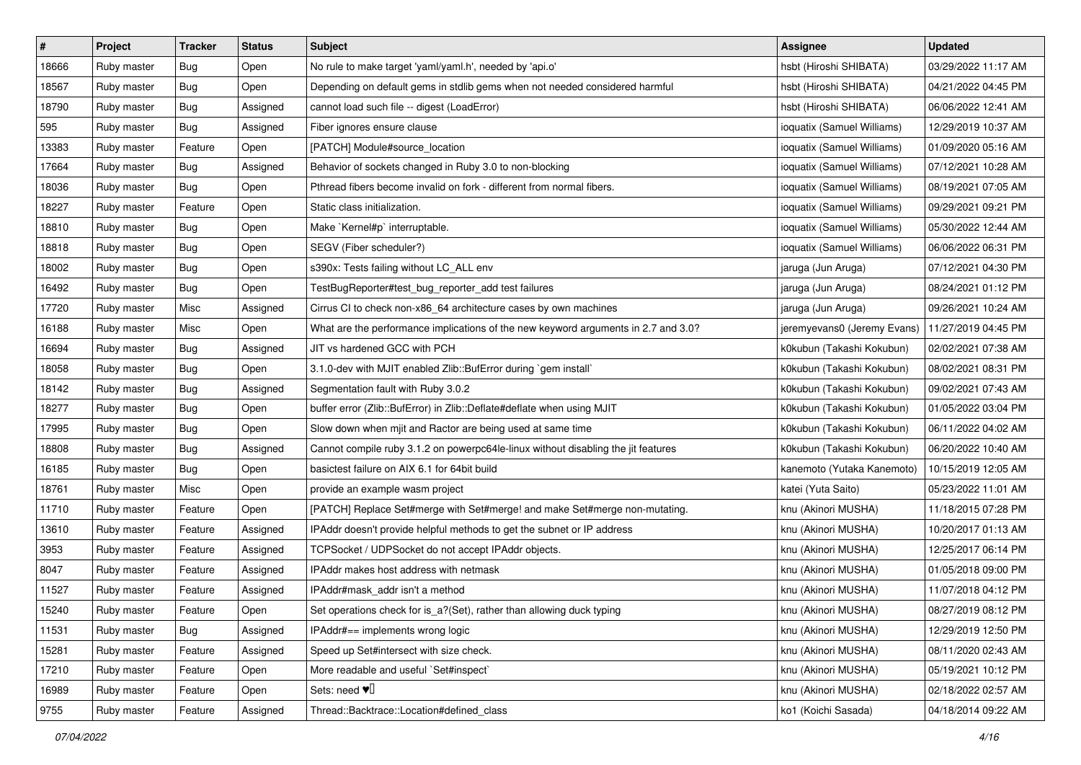| $\vert$ # | Project     | Tracker    | <b>Status</b> | <b>Subject</b>                                                                     | <b>Assignee</b>             | <b>Updated</b>      |
|-----------|-------------|------------|---------------|------------------------------------------------------------------------------------|-----------------------------|---------------------|
| 18666     | Ruby master | <b>Bug</b> | Open          | No rule to make target 'yaml/yaml.h', needed by 'api.o'                            | hsbt (Hiroshi SHIBATA)      | 03/29/2022 11:17 AM |
| 18567     | Ruby master | Bug        | Open          | Depending on default gems in stdlib gems when not needed considered harmful        | hsbt (Hiroshi SHIBATA)      | 04/21/2022 04:45 PM |
| 18790     | Ruby master | <b>Bug</b> | Assigned      | cannot load such file -- digest (LoadError)                                        | hsbt (Hiroshi SHIBATA)      | 06/06/2022 12:41 AM |
| 595       | Ruby master | <b>Bug</b> | Assigned      | Fiber ignores ensure clause                                                        | ioquatix (Samuel Williams)  | 12/29/2019 10:37 AM |
| 13383     | Ruby master | Feature    | Open          | [PATCH] Module#source_location                                                     | ioquatix (Samuel Williams)  | 01/09/2020 05:16 AM |
| 17664     | Ruby master | <b>Bug</b> | Assigned      | Behavior of sockets changed in Ruby 3.0 to non-blocking                            | ioquatix (Samuel Williams)  | 07/12/2021 10:28 AM |
| 18036     | Ruby master | <b>Bug</b> | Open          | Pthread fibers become invalid on fork - different from normal fibers.              | ioquatix (Samuel Williams)  | 08/19/2021 07:05 AM |
| 18227     | Ruby master | Feature    | Open          | Static class initialization.                                                       | ioquatix (Samuel Williams)  | 09/29/2021 09:21 PM |
| 18810     | Ruby master | Bug        | Open          | Make `Kernel#p` interruptable.                                                     | ioquatix (Samuel Williams)  | 05/30/2022 12:44 AM |
| 18818     | Ruby master | Bug        | Open          | SEGV (Fiber scheduler?)                                                            | ioquatix (Samuel Williams)  | 06/06/2022 06:31 PM |
| 18002     | Ruby master | <b>Bug</b> | Open          | s390x: Tests failing without LC_ALL env                                            | jaruga (Jun Aruga)          | 07/12/2021 04:30 PM |
| 16492     | Ruby master | <b>Bug</b> | Open          | TestBugReporter#test_bug_reporter_add test failures                                | jaruga (Jun Aruga)          | 08/24/2021 01:12 PM |
| 17720     | Ruby master | Misc       | Assigned      | Cirrus CI to check non-x86_64 architecture cases by own machines                   | jaruga (Jun Aruga)          | 09/26/2021 10:24 AM |
| 16188     | Ruby master | Misc       | Open          | What are the performance implications of the new keyword arguments in 2.7 and 3.0? | jeremyevans0 (Jeremy Evans) | 11/27/2019 04:45 PM |
| 16694     | Ruby master | <b>Bug</b> | Assigned      | JIT vs hardened GCC with PCH                                                       | k0kubun (Takashi Kokubun)   | 02/02/2021 07:38 AM |
| 18058     | Ruby master | <b>Bug</b> | Open          | 3.1.0-dev with MJIT enabled Zlib::BufError during `gem install`                    | k0kubun (Takashi Kokubun)   | 08/02/2021 08:31 PM |
| 18142     | Ruby master | Bug        | Assigned      | Segmentation fault with Ruby 3.0.2                                                 | k0kubun (Takashi Kokubun)   | 09/02/2021 07:43 AM |
| 18277     | Ruby master | Bug        | Open          | buffer error (Zlib::BufError) in Zlib::Deflate#deflate when using MJIT             | k0kubun (Takashi Kokubun)   | 01/05/2022 03:04 PM |
| 17995     | Ruby master | <b>Bug</b> | Open          | Slow down when mjit and Ractor are being used at same time                         | k0kubun (Takashi Kokubun)   | 06/11/2022 04:02 AM |
| 18808     | Ruby master | <b>Bug</b> | Assigned      | Cannot compile ruby 3.1.2 on powerpc64le-linux without disabling the jit features  | k0kubun (Takashi Kokubun)   | 06/20/2022 10:40 AM |
| 16185     | Ruby master | <b>Bug</b> | Open          | basictest failure on AIX 6.1 for 64bit build                                       | kanemoto (Yutaka Kanemoto)  | 10/15/2019 12:05 AM |
| 18761     | Ruby master | Misc       | Open          | provide an example wasm project                                                    | katei (Yuta Saito)          | 05/23/2022 11:01 AM |
| 11710     | Ruby master | Feature    | Open          | [PATCH] Replace Set#merge with Set#merge! and make Set#merge non-mutating.         | knu (Akinori MUSHA)         | 11/18/2015 07:28 PM |
| 13610     | Ruby master | Feature    | Assigned      | IPAddr doesn't provide helpful methods to get the subnet or IP address             | knu (Akinori MUSHA)         | 10/20/2017 01:13 AM |
| 3953      | Ruby master | Feature    | Assigned      | TCPSocket / UDPSocket do not accept IPAddr objects.                                | knu (Akinori MUSHA)         | 12/25/2017 06:14 PM |
| 8047      | Ruby master | Feature    | Assigned      | <b>IPAddr makes host address with netmask</b>                                      | knu (Akinori MUSHA)         | 01/05/2018 09:00 PM |
| 11527     | Ruby master | Feature    | Assigned      | IPAddr#mask_addr isn't a method                                                    | knu (Akinori MUSHA)         | 11/07/2018 04:12 PM |
| 15240     | Ruby master | Feature    | Open          | Set operations check for is_a?(Set), rather than allowing duck typing              | knu (Akinori MUSHA)         | 08/27/2019 08:12 PM |
| 11531     | Ruby master | Bug        | Assigned      | IPAddr#== implements wrong logic                                                   | knu (Akinori MUSHA)         | 12/29/2019 12:50 PM |
| 15281     | Ruby master | Feature    | Assigned      | Speed up Set#intersect with size check.                                            | knu (Akinori MUSHA)         | 08/11/2020 02:43 AM |
| 17210     | Ruby master | Feature    | Open          | More readable and useful `Set#inspect`                                             | knu (Akinori MUSHA)         | 05/19/2021 10:12 PM |
| 16989     | Ruby master | Feature    | Open          | Sets: need $\Psi$ <sup>[]</sup>                                                    | knu (Akinori MUSHA)         | 02/18/2022 02:57 AM |
| 9755      | Ruby master | Feature    | Assigned      | Thread::Backtrace::Location#defined_class                                          | ko1 (Koichi Sasada)         | 04/18/2014 09:22 AM |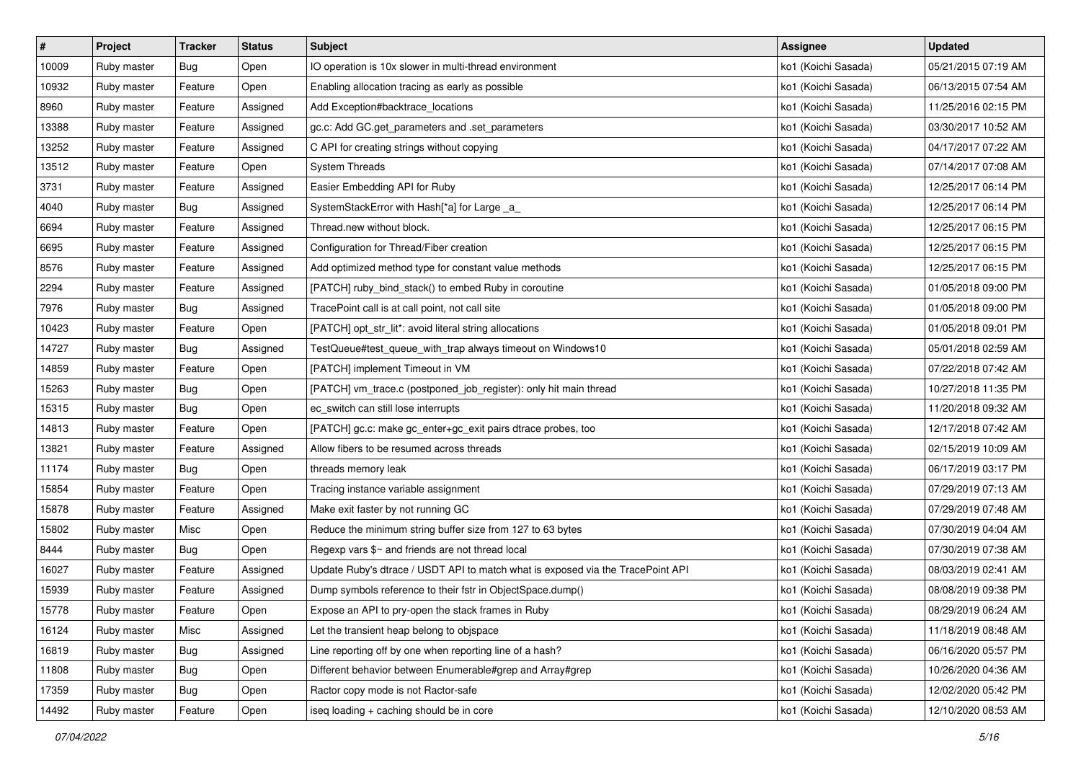| $\vert$ # | Project     | <b>Tracker</b> | <b>Status</b> | <b>Subject</b>                                                                  | <b>Assignee</b>     | <b>Updated</b>      |
|-----------|-------------|----------------|---------------|---------------------------------------------------------------------------------|---------------------|---------------------|
| 10009     | Ruby master | Bug            | Open          | IO operation is 10x slower in multi-thread environment                          | ko1 (Koichi Sasada) | 05/21/2015 07:19 AM |
| 10932     | Ruby master | Feature        | Open          | Enabling allocation tracing as early as possible                                | ko1 (Koichi Sasada) | 06/13/2015 07:54 AM |
| 8960      | Ruby master | Feature        | Assigned      | Add Exception#backtrace_locations                                               | ko1 (Koichi Sasada) | 11/25/2016 02:15 PM |
| 13388     | Ruby master | Feature        | Assigned      | gc.c: Add GC.get_parameters and .set_parameters                                 | ko1 (Koichi Sasada) | 03/30/2017 10:52 AM |
| 13252     | Ruby master | Feature        | Assigned      | C API for creating strings without copying                                      | ko1 (Koichi Sasada) | 04/17/2017 07:22 AM |
| 13512     | Ruby master | Feature        | Open          | <b>System Threads</b>                                                           | ko1 (Koichi Sasada) | 07/14/2017 07:08 AM |
| 3731      | Ruby master | Feature        | Assigned      | Easier Embedding API for Ruby                                                   | ko1 (Koichi Sasada) | 12/25/2017 06:14 PM |
| 4040      | Ruby master | Bug            | Assigned      | SystemStackError with Hash[*a] for Large _a_                                    | ko1 (Koichi Sasada) | 12/25/2017 06:14 PM |
| 6694      | Ruby master | Feature        | Assigned      | Thread.new without block.                                                       | ko1 (Koichi Sasada) | 12/25/2017 06:15 PM |
| 6695      | Ruby master | Feature        | Assigned      | Configuration for Thread/Fiber creation                                         | ko1 (Koichi Sasada) | 12/25/2017 06:15 PM |
| 8576      | Ruby master | Feature        | Assigned      | Add optimized method type for constant value methods                            | ko1 (Koichi Sasada) | 12/25/2017 06:15 PM |
| 2294      | Ruby master | Feature        | Assigned      | [PATCH] ruby_bind_stack() to embed Ruby in coroutine                            | ko1 (Koichi Sasada) | 01/05/2018 09:00 PM |
| 7976      | Ruby master | Bug            | Assigned      | TracePoint call is at call point, not call site                                 | ko1 (Koichi Sasada) | 01/05/2018 09:00 PM |
| 10423     | Ruby master | Feature        | Open          | [PATCH] opt_str_lit*: avoid literal string allocations                          | ko1 (Koichi Sasada) | 01/05/2018 09:01 PM |
| 14727     | Ruby master | Bug            | Assigned      | TestQueue#test_queue_with_trap always timeout on Windows10                      | ko1 (Koichi Sasada) | 05/01/2018 02:59 AM |
| 14859     | Ruby master | Feature        | Open          | [PATCH] implement Timeout in VM                                                 | ko1 (Koichi Sasada) | 07/22/2018 07:42 AM |
| 15263     | Ruby master | Bug            | Open          | [PATCH] vm_trace.c (postponed_job_register): only hit main thread               | ko1 (Koichi Sasada) | 10/27/2018 11:35 PM |
| 15315     | Ruby master | Bug            | Open          | ec_switch can still lose interrupts                                             | ko1 (Koichi Sasada) | 11/20/2018 09:32 AM |
| 14813     | Ruby master | Feature        | Open          | [PATCH] gc.c: make gc_enter+gc_exit pairs dtrace probes, too                    | ko1 (Koichi Sasada) | 12/17/2018 07:42 AM |
| 13821     | Ruby master | Feature        | Assigned      | Allow fibers to be resumed across threads                                       | ko1 (Koichi Sasada) | 02/15/2019 10:09 AM |
| 11174     | Ruby master | Bug            | Open          | threads memory leak                                                             | ko1 (Koichi Sasada) | 06/17/2019 03:17 PM |
| 15854     | Ruby master | Feature        | Open          | Tracing instance variable assignment                                            | ko1 (Koichi Sasada) | 07/29/2019 07:13 AM |
| 15878     | Ruby master | Feature        | Assigned      | Make exit faster by not running GC                                              | ko1 (Koichi Sasada) | 07/29/2019 07:48 AM |
| 15802     | Ruby master | Misc           | Open          | Reduce the minimum string buffer size from 127 to 63 bytes                      | ko1 (Koichi Sasada) | 07/30/2019 04:04 AM |
| 8444      | Ruby master | Bug            | Open          | Regexp vars \$~ and friends are not thread local                                | ko1 (Koichi Sasada) | 07/30/2019 07:38 AM |
| 16027     | Ruby master | Feature        | Assigned      | Update Ruby's dtrace / USDT API to match what is exposed via the TracePoint API | ko1 (Koichi Sasada) | 08/03/2019 02:41 AM |
| 15939     | Ruby master | Feature        | Assigned      | Dump symbols reference to their fstr in ObjectSpace.dump()                      | ko1 (Koichi Sasada) | 08/08/2019 09:38 PM |
| 15778     | Ruby master | Feature        | Open          | Expose an API to pry-open the stack frames in Ruby                              | ko1 (Koichi Sasada) | 08/29/2019 06:24 AM |
| 16124     | Ruby master | Misc           | Assigned      | Let the transient heap belong to objspace                                       | ko1 (Koichi Sasada) | 11/18/2019 08:48 AM |
| 16819     | Ruby master | Bug            | Assigned      | Line reporting off by one when reporting line of a hash?                        | ko1 (Koichi Sasada) | 06/16/2020 05:57 PM |
| 11808     | Ruby master | Bug            | Open          | Different behavior between Enumerable#grep and Array#grep                       | ko1 (Koichi Sasada) | 10/26/2020 04:36 AM |
| 17359     | Ruby master | Bug            | Open          | Ractor copy mode is not Ractor-safe                                             | ko1 (Koichi Sasada) | 12/02/2020 05:42 PM |
| 14492     | Ruby master | Feature        | Open          | iseq loading + caching should be in core                                        | ko1 (Koichi Sasada) | 12/10/2020 08:53 AM |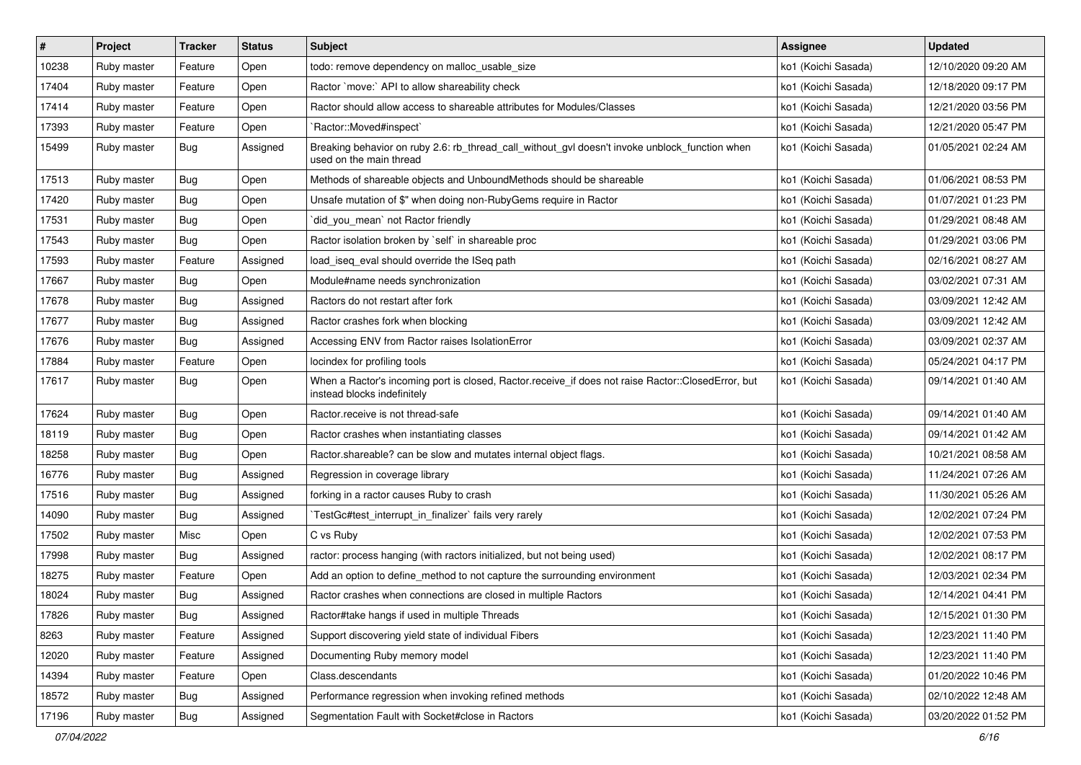| $\vert$ # | Project     | <b>Tracker</b> | <b>Status</b> | <b>Subject</b>                                                                                                                    | <b>Assignee</b>     | <b>Updated</b>      |
|-----------|-------------|----------------|---------------|-----------------------------------------------------------------------------------------------------------------------------------|---------------------|---------------------|
| 10238     | Ruby master | Feature        | Open          | todo: remove dependency on malloc_usable_size                                                                                     | ko1 (Koichi Sasada) | 12/10/2020 09:20 AM |
| 17404     | Ruby master | Feature        | Open          | Ractor `move:` API to allow shareability check                                                                                    | ko1 (Koichi Sasada) | 12/18/2020 09:17 PM |
| 17414     | Ruby master | Feature        | Open          | Ractor should allow access to shareable attributes for Modules/Classes                                                            | ko1 (Koichi Sasada) | 12/21/2020 03:56 PM |
| 17393     | Ruby master | Feature        | Open          | `Ractor::Moved#inspect`                                                                                                           | ko1 (Koichi Sasada) | 12/21/2020 05:47 PM |
| 15499     | Ruby master | Bug            | Assigned      | Breaking behavior on ruby 2.6: rb_thread_call_without_gvl doesn't invoke unblock_function when<br>used on the main thread         | ko1 (Koichi Sasada) | 01/05/2021 02:24 AM |
| 17513     | Ruby master | Bug            | Open          | Methods of shareable objects and UnboundMethods should be shareable                                                               | ko1 (Koichi Sasada) | 01/06/2021 08:53 PM |
| 17420     | Ruby master | Bug            | Open          | Unsafe mutation of \$" when doing non-RubyGems require in Ractor                                                                  | ko1 (Koichi Sasada) | 01/07/2021 01:23 PM |
| 17531     | Ruby master | <b>Bug</b>     | Open          | `did_you_mean` not Ractor friendly                                                                                                | ko1 (Koichi Sasada) | 01/29/2021 08:48 AM |
| 17543     | Ruby master | <b>Bug</b>     | Open          | Ractor isolation broken by `self` in shareable proc                                                                               | ko1 (Koichi Sasada) | 01/29/2021 03:06 PM |
| 17593     | Ruby master | Feature        | Assigned      | load_iseq_eval should override the ISeq path                                                                                      | ko1 (Koichi Sasada) | 02/16/2021 08:27 AM |
| 17667     | Ruby master | Bug            | Open          | Module#name needs synchronization                                                                                                 | ko1 (Koichi Sasada) | 03/02/2021 07:31 AM |
| 17678     | Ruby master | Bug            | Assigned      | Ractors do not restart after fork                                                                                                 | ko1 (Koichi Sasada) | 03/09/2021 12:42 AM |
| 17677     | Ruby master | <b>Bug</b>     | Assigned      | Ractor crashes fork when blocking                                                                                                 | ko1 (Koichi Sasada) | 03/09/2021 12:42 AM |
| 17676     | Ruby master | Bug            | Assigned      | Accessing ENV from Ractor raises IsolationError                                                                                   | ko1 (Koichi Sasada) | 03/09/2021 02:37 AM |
| 17884     | Ruby master | Feature        | Open          | locindex for profiling tools                                                                                                      | ko1 (Koichi Sasada) | 05/24/2021 04:17 PM |
| 17617     | Ruby master | Bug            | Open          | When a Ractor's incoming port is closed, Ractor.receive_if does not raise Ractor::ClosedError, but<br>instead blocks indefinitely | ko1 (Koichi Sasada) | 09/14/2021 01:40 AM |
| 17624     | Ruby master | Bug            | Open          | Ractor.receive is not thread-safe                                                                                                 | ko1 (Koichi Sasada) | 09/14/2021 01:40 AM |
| 18119     | Ruby master | <b>Bug</b>     | Open          | Ractor crashes when instantiating classes                                                                                         | ko1 (Koichi Sasada) | 09/14/2021 01:42 AM |
| 18258     | Ruby master | Bug            | Open          | Ractor.shareable? can be slow and mutates internal object flags.                                                                  | ko1 (Koichi Sasada) | 10/21/2021 08:58 AM |
| 16776     | Ruby master | Bug            | Assigned      | Regression in coverage library                                                                                                    | ko1 (Koichi Sasada) | 11/24/2021 07:26 AM |
| 17516     | Ruby master | Bug            | Assigned      | forking in a ractor causes Ruby to crash                                                                                          | ko1 (Koichi Sasada) | 11/30/2021 05:26 AM |
| 14090     | Ruby master | <b>Bug</b>     | Assigned      | TestGc#test_interrupt_in_finalizer` fails very rarely                                                                             | ko1 (Koichi Sasada) | 12/02/2021 07:24 PM |
| 17502     | Ruby master | Misc           | Open          | C vs Ruby                                                                                                                         | ko1 (Koichi Sasada) | 12/02/2021 07:53 PM |
| 17998     | Ruby master | Bug            | Assigned      | ractor: process hanging (with ractors initialized, but not being used)                                                            | ko1 (Koichi Sasada) | 12/02/2021 08:17 PM |
| 18275     | Ruby master | Feature        | Open          | Add an option to define_method to not capture the surrounding environment                                                         | ko1 (Koichi Sasada) | 12/03/2021 02:34 PM |
| 18024     | Ruby master | Bug            | Assigned      | Ractor crashes when connections are closed in multiple Ractors                                                                    | ko1 (Koichi Sasada) | 12/14/2021 04:41 PM |
| 17826     | Ruby master | Bug            | Assigned      | Ractor#take hangs if used in multiple Threads                                                                                     | ko1 (Koichi Sasada) | 12/15/2021 01:30 PM |
| 8263      | Ruby master | Feature        | Assigned      | Support discovering yield state of individual Fibers                                                                              | ko1 (Koichi Sasada) | 12/23/2021 11:40 PM |
| 12020     | Ruby master | Feature        | Assigned      | Documenting Ruby memory model                                                                                                     | ko1 (Koichi Sasada) | 12/23/2021 11:40 PM |
| 14394     | Ruby master | Feature        | Open          | Class.descendants                                                                                                                 | ko1 (Koichi Sasada) | 01/20/2022 10:46 PM |
| 18572     | Ruby master | Bug            | Assigned      | Performance regression when invoking refined methods                                                                              | ko1 (Koichi Sasada) | 02/10/2022 12:48 AM |
| 17196     | Ruby master | <b>Bug</b>     | Assigned      | Segmentation Fault with Socket#close in Ractors                                                                                   | ko1 (Koichi Sasada) | 03/20/2022 01:52 PM |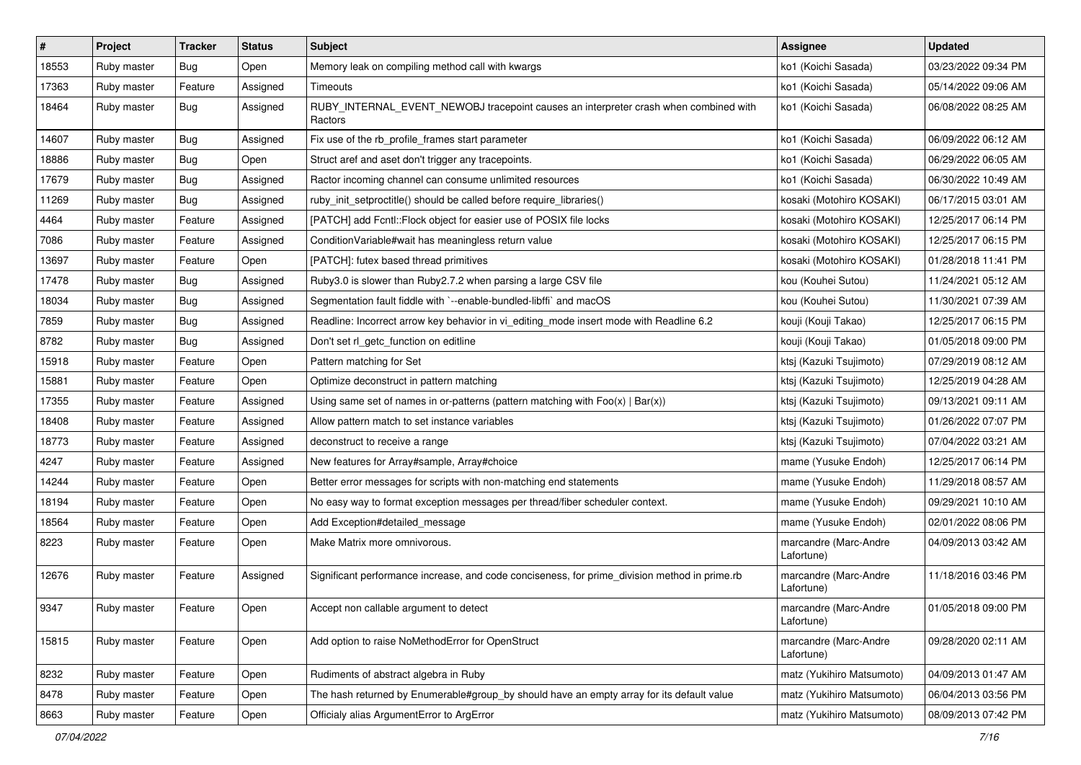| $\vert$ # | Project     | <b>Tracker</b> | <b>Status</b> | <b>Subject</b>                                                                                  | <b>Assignee</b>                     | <b>Updated</b>      |
|-----------|-------------|----------------|---------------|-------------------------------------------------------------------------------------------------|-------------------------------------|---------------------|
| 18553     | Ruby master | Bug            | Open          | Memory leak on compiling method call with kwargs                                                | ko1 (Koichi Sasada)                 | 03/23/2022 09:34 PM |
| 17363     | Ruby master | Feature        | Assigned      | Timeouts                                                                                        | ko1 (Koichi Sasada)                 | 05/14/2022 09:06 AM |
| 18464     | Ruby master | Bug            | Assigned      | RUBY_INTERNAL_EVENT_NEWOBJ tracepoint causes an interpreter crash when combined with<br>Ractors | ko1 (Koichi Sasada)                 | 06/08/2022 08:25 AM |
| 14607     | Ruby master | Bug            | Assigned      | Fix use of the rb_profile_frames start parameter                                                | ko1 (Koichi Sasada)                 | 06/09/2022 06:12 AM |
| 18886     | Ruby master | Bug            | Open          | Struct aref and aset don't trigger any tracepoints.                                             | ko1 (Koichi Sasada)                 | 06/29/2022 06:05 AM |
| 17679     | Ruby master | Bug            | Assigned      | Ractor incoming channel can consume unlimited resources                                         | ko1 (Koichi Sasada)                 | 06/30/2022 10:49 AM |
| 11269     | Ruby master | <b>Bug</b>     | Assigned      | ruby_init_setproctitle() should be called before require_libraries()                            | kosaki (Motohiro KOSAKI)            | 06/17/2015 03:01 AM |
| 4464      | Ruby master | Feature        | Assigned      | [PATCH] add Fcntl::Flock object for easier use of POSIX file locks                              | kosaki (Motohiro KOSAKI)            | 12/25/2017 06:14 PM |
| 7086      | Ruby master | Feature        | Assigned      | Condition Variable#wait has meaningless return value                                            | kosaki (Motohiro KOSAKI)            | 12/25/2017 06:15 PM |
| 13697     | Ruby master | Feature        | Open          | [PATCH]: futex based thread primitives                                                          | kosaki (Motohiro KOSAKI)            | 01/28/2018 11:41 PM |
| 17478     | Ruby master | Bug            | Assigned      | Ruby3.0 is slower than Ruby2.7.2 when parsing a large CSV file                                  | kou (Kouhei Sutou)                  | 11/24/2021 05:12 AM |
| 18034     | Ruby master | Bug            | Assigned      | Segmentation fault fiddle with `--enable-bundled-libffi` and macOS                              | kou (Kouhei Sutou)                  | 11/30/2021 07:39 AM |
| 7859      | Ruby master | Bug            | Assigned      | Readline: Incorrect arrow key behavior in vi_editing_mode insert mode with Readline 6.2         | kouji (Kouji Takao)                 | 12/25/2017 06:15 PM |
| 8782      | Ruby master | Bug            | Assigned      | Don't set rl_getc_function on editline                                                          | kouji (Kouji Takao)                 | 01/05/2018 09:00 PM |
| 15918     | Ruby master | Feature        | Open          | Pattern matching for Set                                                                        | ktsj (Kazuki Tsujimoto)             | 07/29/2019 08:12 AM |
| 15881     | Ruby master | Feature        | Open          | Optimize deconstruct in pattern matching                                                        | ktsj (Kazuki Tsujimoto)             | 12/25/2019 04:28 AM |
| 17355     | Ruby master | Feature        | Assigned      | Using same set of names in or-patterns (pattern matching with $Foo(x)   Bar(x)$ )               | ktsj (Kazuki Tsujimoto)             | 09/13/2021 09:11 AM |
| 18408     | Ruby master | Feature        | Assigned      | Allow pattern match to set instance variables                                                   | ktsj (Kazuki Tsujimoto)             | 01/26/2022 07:07 PM |
| 18773     | Ruby master | Feature        | Assigned      | deconstruct to receive a range                                                                  | ktsj (Kazuki Tsujimoto)             | 07/04/2022 03:21 AM |
| 4247      | Ruby master | Feature        | Assigned      | New features for Array#sample, Array#choice                                                     | mame (Yusuke Endoh)                 | 12/25/2017 06:14 PM |
| 14244     | Ruby master | Feature        | Open          | Better error messages for scripts with non-matching end statements                              | mame (Yusuke Endoh)                 | 11/29/2018 08:57 AM |
| 18194     | Ruby master | Feature        | Open          | No easy way to format exception messages per thread/fiber scheduler context.                    | mame (Yusuke Endoh)                 | 09/29/2021 10:10 AM |
| 18564     | Ruby master | Feature        | Open          | Add Exception#detailed_message                                                                  | mame (Yusuke Endoh)                 | 02/01/2022 08:06 PM |
| 8223      | Ruby master | Feature        | Open          | Make Matrix more omnivorous.                                                                    | marcandre (Marc-Andre<br>Lafortune) | 04/09/2013 03:42 AM |
| 12676     | Ruby master | Feature        | Assigned      | Significant performance increase, and code conciseness, for prime_division method in prime.rb   | marcandre (Marc-Andre<br>Lafortune) | 11/18/2016 03:46 PM |
| 9347      | Ruby master | Feature        | Open          | Accept non callable argument to detect                                                          | marcandre (Marc-Andre<br>Lafortune) | 01/05/2018 09:00 PM |
| 15815     | Ruby master | Feature        | Open          | Add option to raise NoMethodError for OpenStruct                                                | marcandre (Marc-Andre<br>Lafortune) | 09/28/2020 02:11 AM |
| 8232      | Ruby master | Feature        | Open          | Rudiments of abstract algebra in Ruby                                                           | matz (Yukihiro Matsumoto)           | 04/09/2013 01:47 AM |
| 8478      | Ruby master | Feature        | Open          | The hash returned by Enumerable#group_by should have an empty array for its default value       | matz (Yukihiro Matsumoto)           | 06/04/2013 03:56 PM |
| 8663      | Ruby master | Feature        | Open          | Officialy alias ArgumentError to ArgError                                                       | matz (Yukihiro Matsumoto)           | 08/09/2013 07:42 PM |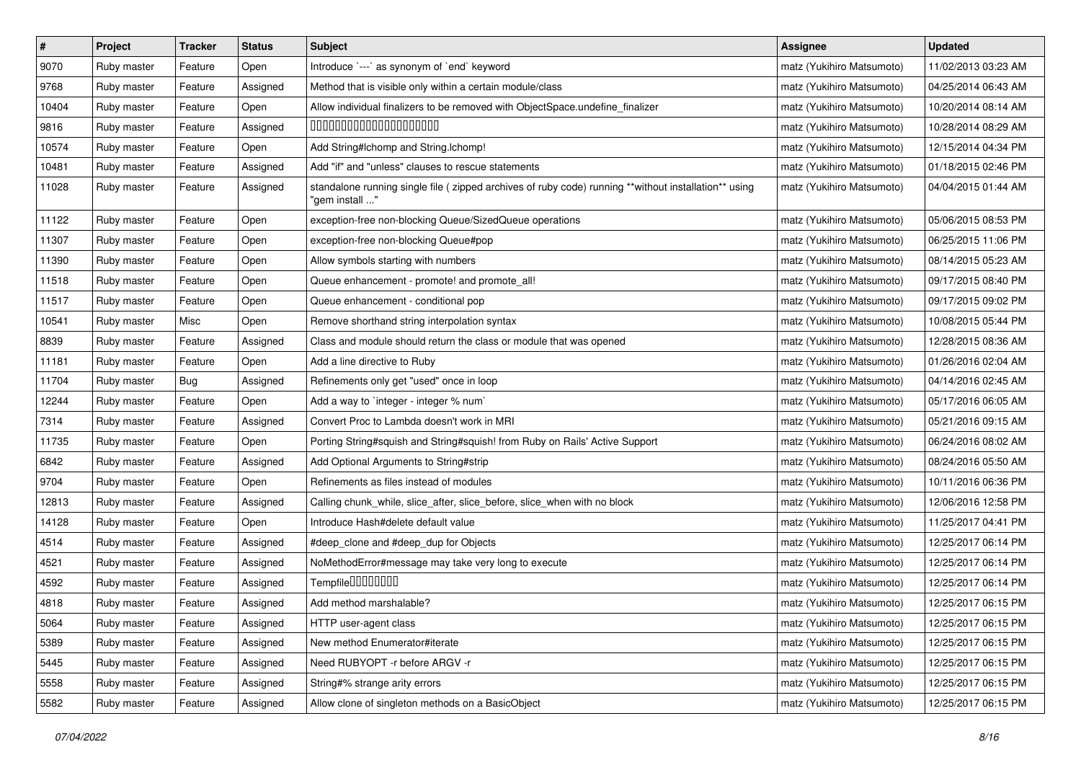| $\pmb{\#}$ | Project     | <b>Tracker</b> | <b>Status</b> | <b>Subject</b>                                                                                                         | <b>Assignee</b>           | <b>Updated</b>      |
|------------|-------------|----------------|---------------|------------------------------------------------------------------------------------------------------------------------|---------------------------|---------------------|
| 9070       | Ruby master | Feature        | Open          | Introduce `---` as synonym of `end` keyword                                                                            | matz (Yukihiro Matsumoto) | 11/02/2013 03:23 AM |
| 9768       | Ruby master | Feature        | Assigned      | Method that is visible only within a certain module/class                                                              | matz (Yukihiro Matsumoto) | 04/25/2014 06:43 AM |
| 10404      | Ruby master | Feature        | Open          | Allow individual finalizers to be removed with ObjectSpace.undefine_finalizer                                          | matz (Yukihiro Matsumoto) | 10/20/2014 08:14 AM |
| 9816       | Ruby master | Feature        | Assigned      | 00000000000000000000                                                                                                   | matz (Yukihiro Matsumoto) | 10/28/2014 08:29 AM |
| 10574      | Ruby master | Feature        | Open          | Add String#Ichomp and String.Ichomp!                                                                                   | matz (Yukihiro Matsumoto) | 12/15/2014 04:34 PM |
| 10481      | Ruby master | Feature        | Assigned      | Add "if" and "unless" clauses to rescue statements                                                                     | matz (Yukihiro Matsumoto) | 01/18/2015 02:46 PM |
| 11028      | Ruby master | Feature        | Assigned      | standalone running single file (zipped archives of ruby code) running **without installation** using<br>"gem install " | matz (Yukihiro Matsumoto) | 04/04/2015 01:44 AM |
| 11122      | Ruby master | Feature        | Open          | exception-free non-blocking Queue/SizedQueue operations                                                                | matz (Yukihiro Matsumoto) | 05/06/2015 08:53 PM |
| 11307      | Ruby master | Feature        | Open          | exception-free non-blocking Queue#pop                                                                                  | matz (Yukihiro Matsumoto) | 06/25/2015 11:06 PM |
| 11390      | Ruby master | Feature        | Open          | Allow symbols starting with numbers                                                                                    | matz (Yukihiro Matsumoto) | 08/14/2015 05:23 AM |
| 11518      | Ruby master | Feature        | Open          | Queue enhancement - promote! and promote_all!                                                                          | matz (Yukihiro Matsumoto) | 09/17/2015 08:40 PM |
| 11517      | Ruby master | Feature        | Open          | Queue enhancement - conditional pop                                                                                    | matz (Yukihiro Matsumoto) | 09/17/2015 09:02 PM |
| 10541      | Ruby master | Misc           | Open          | Remove shorthand string interpolation syntax                                                                           | matz (Yukihiro Matsumoto) | 10/08/2015 05:44 PM |
| 8839       | Ruby master | Feature        | Assigned      | Class and module should return the class or module that was opened                                                     | matz (Yukihiro Matsumoto) | 12/28/2015 08:36 AM |
| 11181      | Ruby master | Feature        | Open          | Add a line directive to Ruby                                                                                           | matz (Yukihiro Matsumoto) | 01/26/2016 02:04 AM |
| 11704      | Ruby master | Bug            | Assigned      | Refinements only get "used" once in loop                                                                               | matz (Yukihiro Matsumoto) | 04/14/2016 02:45 AM |
| 12244      | Ruby master | Feature        | Open          | Add a way to 'integer - integer % num'                                                                                 | matz (Yukihiro Matsumoto) | 05/17/2016 06:05 AM |
| 7314       | Ruby master | Feature        | Assigned      | Convert Proc to Lambda doesn't work in MRI                                                                             | matz (Yukihiro Matsumoto) | 05/21/2016 09:15 AM |
| 11735      | Ruby master | Feature        | Open          | Porting String#squish and String#squish! from Ruby on Rails' Active Support                                            | matz (Yukihiro Matsumoto) | 06/24/2016 08:02 AM |
| 6842       | Ruby master | Feature        | Assigned      | Add Optional Arguments to String#strip                                                                                 | matz (Yukihiro Matsumoto) | 08/24/2016 05:50 AM |
| 9704       | Ruby master | Feature        | Open          | Refinements as files instead of modules                                                                                | matz (Yukihiro Matsumoto) | 10/11/2016 06:36 PM |
| 12813      | Ruby master | Feature        | Assigned      | Calling chunk_while, slice_after, slice_before, slice_when with no block                                               | matz (Yukihiro Matsumoto) | 12/06/2016 12:58 PM |
| 14128      | Ruby master | Feature        | Open          | Introduce Hash#delete default value                                                                                    | matz (Yukihiro Matsumoto) | 11/25/2017 04:41 PM |
| 4514       | Ruby master | Feature        | Assigned      | #deep_clone and #deep_dup for Objects                                                                                  | matz (Yukihiro Matsumoto) | 12/25/2017 06:14 PM |
| 4521       | Ruby master | Feature        | Assigned      | NoMethodError#message may take very long to execute                                                                    | matz (Yukihiro Matsumoto) | 12/25/2017 06:14 PM |
| 4592       | Ruby master | Feature        | Assigned      | Tempfile0000000                                                                                                        | matz (Yukihiro Matsumoto) | 12/25/2017 06:14 PM |
| 4818       | Ruby master | Feature        | Assigned      | Add method marshalable?                                                                                                | matz (Yukihiro Matsumoto) | 12/25/2017 06:15 PM |
| 5064       | Ruby master | Feature        | Assigned      | HTTP user-agent class                                                                                                  | matz (Yukihiro Matsumoto) | 12/25/2017 06:15 PM |
| 5389       | Ruby master | Feature        | Assigned      | New method Enumerator#iterate                                                                                          | matz (Yukihiro Matsumoto) | 12/25/2017 06:15 PM |
| 5445       | Ruby master | Feature        | Assigned      | Need RUBYOPT - r before ARGV - r                                                                                       | matz (Yukihiro Matsumoto) | 12/25/2017 06:15 PM |
| 5558       | Ruby master | Feature        | Assigned      | String#% strange arity errors                                                                                          | matz (Yukihiro Matsumoto) | 12/25/2017 06:15 PM |
| 5582       | Ruby master | Feature        | Assigned      | Allow clone of singleton methods on a BasicObject                                                                      | matz (Yukihiro Matsumoto) | 12/25/2017 06:15 PM |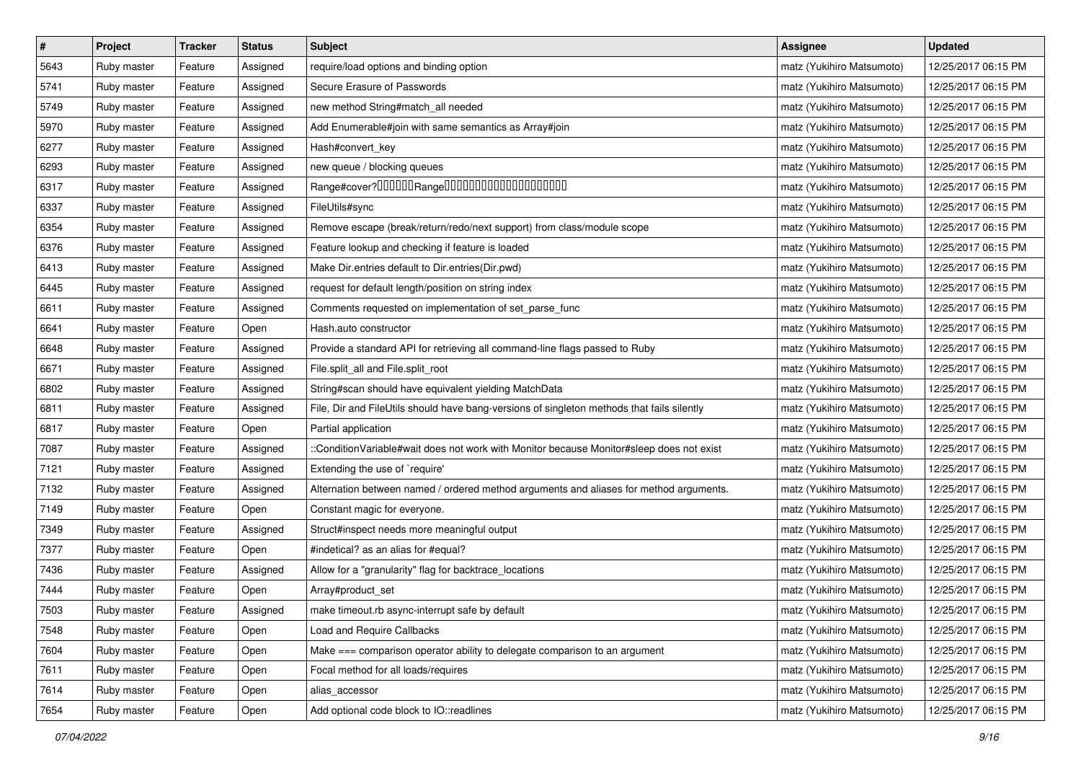| $\vert$ # | Project     | <b>Tracker</b> | <b>Status</b> | <b>Subject</b>                                                                             | <b>Assignee</b>           | <b>Updated</b>      |
|-----------|-------------|----------------|---------------|--------------------------------------------------------------------------------------------|---------------------------|---------------------|
| 5643      | Ruby master | Feature        | Assigned      | require/load options and binding option                                                    | matz (Yukihiro Matsumoto) | 12/25/2017 06:15 PM |
| 5741      | Ruby master | Feature        | Assigned      | Secure Erasure of Passwords                                                                | matz (Yukihiro Matsumoto) | 12/25/2017 06:15 PM |
| 5749      | Ruby master | Feature        | Assigned      | new method String#match_all needed                                                         | matz (Yukihiro Matsumoto) | 12/25/2017 06:15 PM |
| 5970      | Ruby master | Feature        | Assigned      | Add Enumerable#join with same semantics as Array#join                                      | matz (Yukihiro Matsumoto) | 12/25/2017 06:15 PM |
| 6277      | Ruby master | Feature        | Assigned      | Hash#convert_key                                                                           | matz (Yukihiro Matsumoto) | 12/25/2017 06:15 PM |
| 6293      | Ruby master | Feature        | Assigned      | new queue / blocking queues                                                                | matz (Yukihiro Matsumoto) | 12/25/2017 06:15 PM |
| 6317      | Ruby master | Feature        | Assigned      | Range#cover?000000Range00000000000000000000                                                | matz (Yukihiro Matsumoto) | 12/25/2017 06:15 PM |
| 6337      | Ruby master | Feature        | Assigned      | FileUtils#sync                                                                             | matz (Yukihiro Matsumoto) | 12/25/2017 06:15 PM |
| 6354      | Ruby master | Feature        | Assigned      | Remove escape (break/return/redo/next support) from class/module scope                     | matz (Yukihiro Matsumoto) | 12/25/2017 06:15 PM |
| 6376      | Ruby master | Feature        | Assigned      | Feature lookup and checking if feature is loaded                                           | matz (Yukihiro Matsumoto) | 12/25/2017 06:15 PM |
| 6413      | Ruby master | Feature        | Assigned      | Make Dir.entries default to Dir.entries(Dir.pwd)                                           | matz (Yukihiro Matsumoto) | 12/25/2017 06:15 PM |
| 6445      | Ruby master | Feature        | Assigned      | request for default length/position on string index                                        | matz (Yukihiro Matsumoto) | 12/25/2017 06:15 PM |
| 6611      | Ruby master | Feature        | Assigned      | Comments requested on implementation of set_parse_func                                     | matz (Yukihiro Matsumoto) | 12/25/2017 06:15 PM |
| 6641      | Ruby master | Feature        | Open          | Hash.auto constructor                                                                      | matz (Yukihiro Matsumoto) | 12/25/2017 06:15 PM |
| 6648      | Ruby master | Feature        | Assigned      | Provide a standard API for retrieving all command-line flags passed to Ruby                | matz (Yukihiro Matsumoto) | 12/25/2017 06:15 PM |
| 6671      | Ruby master | Feature        | Assigned      | File.split_all and File.split_root                                                         | matz (Yukihiro Matsumoto) | 12/25/2017 06:15 PM |
| 6802      | Ruby master | Feature        | Assigned      | String#scan should have equivalent yielding MatchData                                      | matz (Yukihiro Matsumoto) | 12/25/2017 06:15 PM |
| 6811      | Ruby master | Feature        | Assigned      | File, Dir and FileUtils should have bang-versions of singleton methods that fails silently | matz (Yukihiro Matsumoto) | 12/25/2017 06:15 PM |
| 6817      | Ruby master | Feature        | Open          | Partial application                                                                        | matz (Yukihiro Matsumoto) | 12/25/2017 06:15 PM |
| 7087      | Ruby master | Feature        | Assigned      | ::ConditionVariable#wait does not work with Monitor because Monitor#sleep does not exist   | matz (Yukihiro Matsumoto) | 12/25/2017 06:15 PM |
| 7121      | Ruby master | Feature        | Assigned      | Extending the use of `require'                                                             | matz (Yukihiro Matsumoto) | 12/25/2017 06:15 PM |
| 7132      | Ruby master | Feature        | Assigned      | Alternation between named / ordered method arguments and aliases for method arguments.     | matz (Yukihiro Matsumoto) | 12/25/2017 06:15 PM |
| 7149      | Ruby master | Feature        | Open          | Constant magic for everyone.                                                               | matz (Yukihiro Matsumoto) | 12/25/2017 06:15 PM |
| 7349      | Ruby master | Feature        | Assigned      | Struct#inspect needs more meaningful output                                                | matz (Yukihiro Matsumoto) | 12/25/2017 06:15 PM |
| 7377      | Ruby master | Feature        | Open          | #indetical? as an alias for #equal?                                                        | matz (Yukihiro Matsumoto) | 12/25/2017 06:15 PM |
| 7436      | Ruby master | Feature        | Assigned      | Allow for a "granularity" flag for backtrace_locations                                     | matz (Yukihiro Matsumoto) | 12/25/2017 06:15 PM |
| 7444      | Ruby master | Feature        | Open          | Array#product_set                                                                          | matz (Yukihiro Matsumoto) | 12/25/2017 06:15 PM |
| 7503      | Ruby master | Feature        | Assigned      | make timeout.rb async-interrupt safe by default                                            | matz (Yukihiro Matsumoto) | 12/25/2017 06:15 PM |
| 7548      | Ruby master | Feature        | Open          | <b>Load and Require Callbacks</b>                                                          | matz (Yukihiro Matsumoto) | 12/25/2017 06:15 PM |
| 7604      | Ruby master | Feature        | Open          | Make === comparison operator ability to delegate comparison to an argument                 | matz (Yukihiro Matsumoto) | 12/25/2017 06:15 PM |
| 7611      | Ruby master | Feature        | Open          | Focal method for all loads/requires                                                        | matz (Yukihiro Matsumoto) | 12/25/2017 06:15 PM |
| 7614      | Ruby master | Feature        | Open          | alias_accessor                                                                             | matz (Yukihiro Matsumoto) | 12/25/2017 06:15 PM |
| 7654      | Ruby master | Feature        | Open          | Add optional code block to IO::readlines                                                   | matz (Yukihiro Matsumoto) | 12/25/2017 06:15 PM |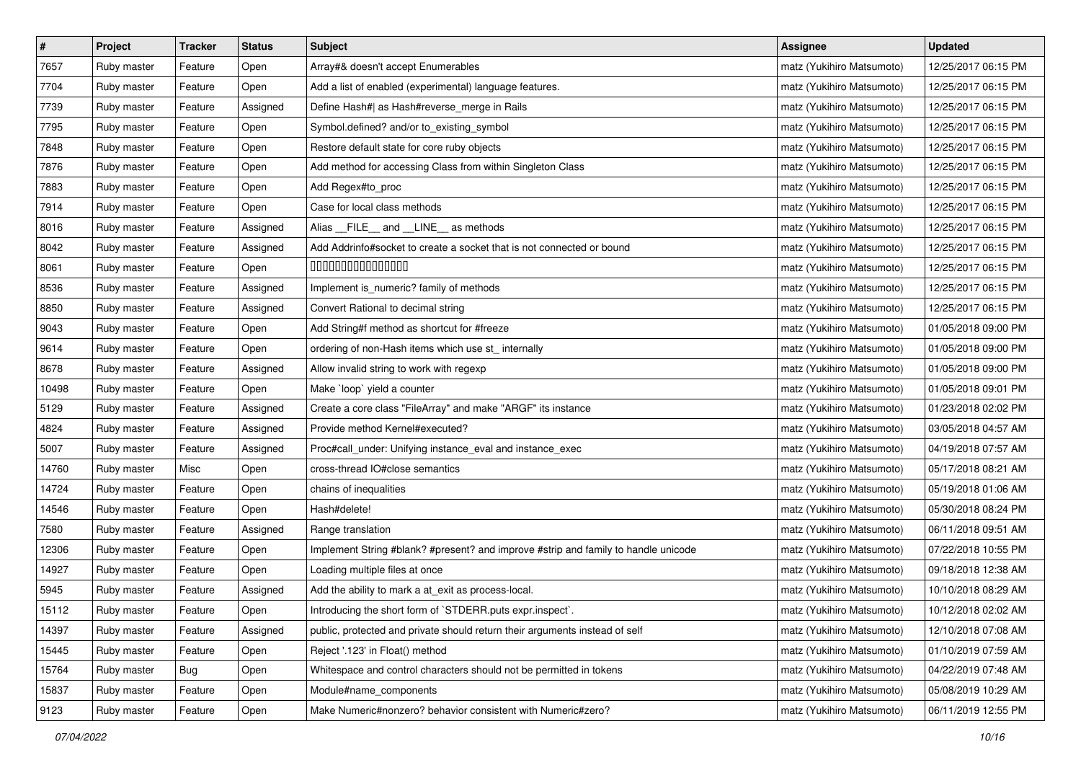| $\pmb{\#}$ | Project     | <b>Tracker</b> | <b>Status</b> | <b>Subject</b>                                                                     | <b>Assignee</b>           | <b>Updated</b>      |
|------------|-------------|----------------|---------------|------------------------------------------------------------------------------------|---------------------------|---------------------|
| 7657       | Ruby master | Feature        | Open          | Array#& doesn't accept Enumerables                                                 | matz (Yukihiro Matsumoto) | 12/25/2017 06:15 PM |
| 7704       | Ruby master | Feature        | Open          | Add a list of enabled (experimental) language features.                            | matz (Yukihiro Matsumoto) | 12/25/2017 06:15 PM |
| 7739       | Ruby master | Feature        | Assigned      | Define Hash#  as Hash#reverse_merge in Rails                                       | matz (Yukihiro Matsumoto) | 12/25/2017 06:15 PM |
| 7795       | Ruby master | Feature        | Open          | Symbol.defined? and/or to_existing_symbol                                          | matz (Yukihiro Matsumoto) | 12/25/2017 06:15 PM |
| 7848       | Ruby master | Feature        | Open          | Restore default state for core ruby objects                                        | matz (Yukihiro Matsumoto) | 12/25/2017 06:15 PM |
| 7876       | Ruby master | Feature        | Open          | Add method for accessing Class from within Singleton Class                         | matz (Yukihiro Matsumoto) | 12/25/2017 06:15 PM |
| 7883       | Ruby master | Feature        | Open          | Add Regex#to_proc                                                                  | matz (Yukihiro Matsumoto) | 12/25/2017 06:15 PM |
| 7914       | Ruby master | Feature        | Open          | Case for local class methods                                                       | matz (Yukihiro Matsumoto) | 12/25/2017 06:15 PM |
| 8016       | Ruby master | Feature        | Assigned      | Alias __FILE__ and __LINE__ as methods                                             | matz (Yukihiro Matsumoto) | 12/25/2017 06:15 PM |
| 8042       | Ruby master | Feature        | Assigned      | Add Addrinfo#socket to create a socket that is not connected or bound              | matz (Yukihiro Matsumoto) | 12/25/2017 06:15 PM |
| 8061       | Ruby master | Feature        | Open          | 000000000000000                                                                    | matz (Yukihiro Matsumoto) | 12/25/2017 06:15 PM |
| 8536       | Ruby master | Feature        | Assigned      | Implement is_numeric? family of methods                                            | matz (Yukihiro Matsumoto) | 12/25/2017 06:15 PM |
| 8850       | Ruby master | Feature        | Assigned      | Convert Rational to decimal string                                                 | matz (Yukihiro Matsumoto) | 12/25/2017 06:15 PM |
| 9043       | Ruby master | Feature        | Open          | Add String#f method as shortcut for #freeze                                        | matz (Yukihiro Matsumoto) | 01/05/2018 09:00 PM |
| 9614       | Ruby master | Feature        | Open          | ordering of non-Hash items which use st_ internally                                | matz (Yukihiro Matsumoto) | 01/05/2018 09:00 PM |
| 8678       | Ruby master | Feature        | Assigned      | Allow invalid string to work with regexp                                           | matz (Yukihiro Matsumoto) | 01/05/2018 09:00 PM |
| 10498      | Ruby master | Feature        | Open          | Make 'loop' yield a counter                                                        | matz (Yukihiro Matsumoto) | 01/05/2018 09:01 PM |
| 5129       | Ruby master | Feature        | Assigned      | Create a core class "FileArray" and make "ARGF" its instance                       | matz (Yukihiro Matsumoto) | 01/23/2018 02:02 PM |
| 4824       | Ruby master | Feature        | Assigned      | Provide method Kernel#executed?                                                    | matz (Yukihiro Matsumoto) | 03/05/2018 04:57 AM |
| 5007       | Ruby master | Feature        | Assigned      | Proc#call_under: Unifying instance_eval and instance_exec                          | matz (Yukihiro Matsumoto) | 04/19/2018 07:57 AM |
| 14760      | Ruby master | Misc           | Open          | cross-thread IO#close semantics                                                    | matz (Yukihiro Matsumoto) | 05/17/2018 08:21 AM |
| 14724      | Ruby master | Feature        | Open          | chains of inequalities                                                             | matz (Yukihiro Matsumoto) | 05/19/2018 01:06 AM |
| 14546      | Ruby master | Feature        | Open          | Hash#delete!                                                                       | matz (Yukihiro Matsumoto) | 05/30/2018 08:24 PM |
| 7580       | Ruby master | Feature        | Assigned      | Range translation                                                                  | matz (Yukihiro Matsumoto) | 06/11/2018 09:51 AM |
| 12306      | Ruby master | Feature        | Open          | Implement String #blank? #present? and improve #strip and family to handle unicode | matz (Yukihiro Matsumoto) | 07/22/2018 10:55 PM |
| 14927      | Ruby master | Feature        | Open          | Loading multiple files at once                                                     | matz (Yukihiro Matsumoto) | 09/18/2018 12:38 AM |
| 5945       | Ruby master | Feature        | Assigned      | Add the ability to mark a at_exit as process-local.                                | matz (Yukihiro Matsumoto) | 10/10/2018 08:29 AM |
| 15112      | Ruby master | Feature        | Open          | Introducing the short form of `STDERR.puts expr.inspect`.                          | matz (Yukihiro Matsumoto) | 10/12/2018 02:02 AM |
| 14397      | Ruby master | Feature        | Assigned      | public, protected and private should return their arguments instead of self        | matz (Yukihiro Matsumoto) | 12/10/2018 07:08 AM |
| 15445      | Ruby master | Feature        | Open          | Reject '.123' in Float() method                                                    | matz (Yukihiro Matsumoto) | 01/10/2019 07:59 AM |
| 15764      | Ruby master | Bug            | Open          | Whitespace and control characters should not be permitted in tokens                | matz (Yukihiro Matsumoto) | 04/22/2019 07:48 AM |
| 15837      | Ruby master | Feature        | Open          | Module#name_components                                                             | matz (Yukihiro Matsumoto) | 05/08/2019 10:29 AM |
| 9123       | Ruby master | Feature        | Open          | Make Numeric#nonzero? behavior consistent with Numeric#zero?                       | matz (Yukihiro Matsumoto) | 06/11/2019 12:55 PM |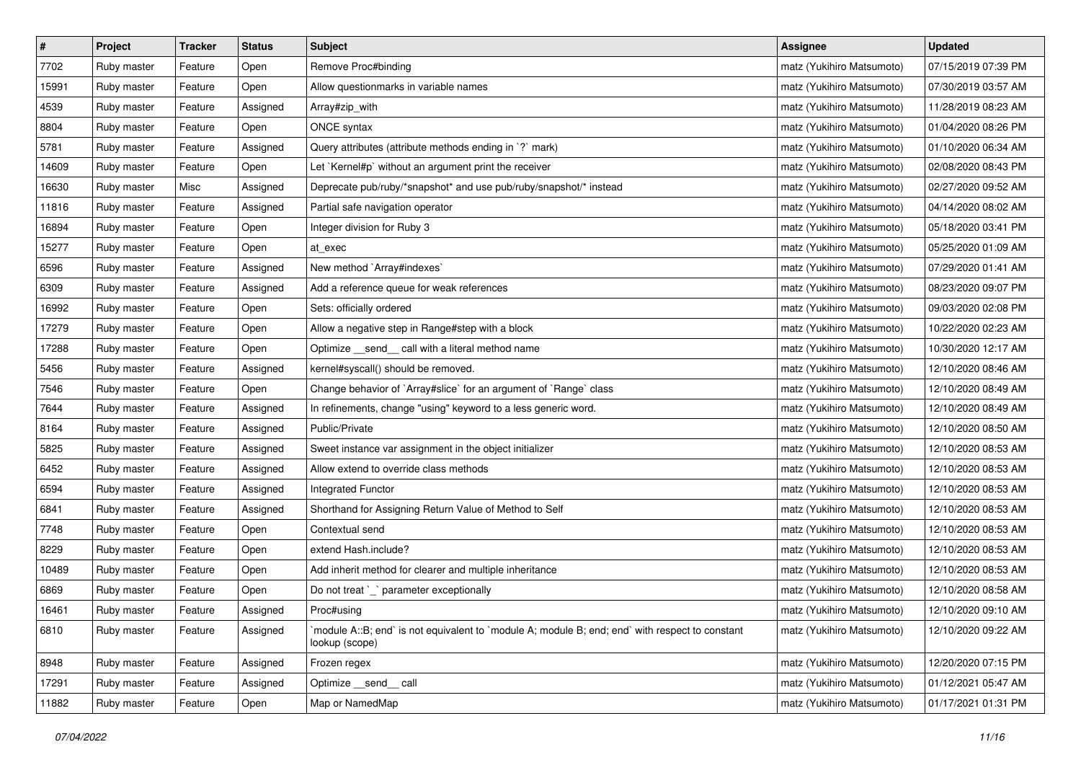| $\pmb{\#}$ | Project     | <b>Tracker</b> | <b>Status</b> | <b>Subject</b>                                                                                                   | <b>Assignee</b>           | <b>Updated</b>      |
|------------|-------------|----------------|---------------|------------------------------------------------------------------------------------------------------------------|---------------------------|---------------------|
| 7702       | Ruby master | Feature        | Open          | Remove Proc#binding                                                                                              | matz (Yukihiro Matsumoto) | 07/15/2019 07:39 PM |
| 15991      | Ruby master | Feature        | Open          | Allow questionmarks in variable names                                                                            | matz (Yukihiro Matsumoto) | 07/30/2019 03:57 AM |
| 4539       | Ruby master | Feature        | Assigned      | Array#zip_with                                                                                                   | matz (Yukihiro Matsumoto) | 11/28/2019 08:23 AM |
| 8804       | Ruby master | Feature        | Open          | ONCE syntax                                                                                                      | matz (Yukihiro Matsumoto) | 01/04/2020 08:26 PM |
| 5781       | Ruby master | Feature        | Assigned      | Query attributes (attribute methods ending in `?` mark)                                                          | matz (Yukihiro Matsumoto) | 01/10/2020 06:34 AM |
| 14609      | Ruby master | Feature        | Open          | Let `Kernel#p` without an argument print the receiver                                                            | matz (Yukihiro Matsumoto) | 02/08/2020 08:43 PM |
| 16630      | Ruby master | Misc           | Assigned      | Deprecate pub/ruby/*snapshot* and use pub/ruby/snapshot/* instead                                                | matz (Yukihiro Matsumoto) | 02/27/2020 09:52 AM |
| 11816      | Ruby master | Feature        | Assigned      | Partial safe navigation operator                                                                                 | matz (Yukihiro Matsumoto) | 04/14/2020 08:02 AM |
| 16894      | Ruby master | Feature        | Open          | Integer division for Ruby 3                                                                                      | matz (Yukihiro Matsumoto) | 05/18/2020 03:41 PM |
| 15277      | Ruby master | Feature        | Open          | at_exec                                                                                                          | matz (Yukihiro Matsumoto) | 05/25/2020 01:09 AM |
| 6596       | Ruby master | Feature        | Assigned      | New method `Array#indexes`                                                                                       | matz (Yukihiro Matsumoto) | 07/29/2020 01:41 AM |
| 6309       | Ruby master | Feature        | Assigned      | Add a reference queue for weak references                                                                        | matz (Yukihiro Matsumoto) | 08/23/2020 09:07 PM |
| 16992      | Ruby master | Feature        | Open          | Sets: officially ordered                                                                                         | matz (Yukihiro Matsumoto) | 09/03/2020 02:08 PM |
| 17279      | Ruby master | Feature        | Open          | Allow a negative step in Range#step with a block                                                                 | matz (Yukihiro Matsumoto) | 10/22/2020 02:23 AM |
| 17288      | Ruby master | Feature        | Open          | Optimize _send_ call with a literal method name                                                                  | matz (Yukihiro Matsumoto) | 10/30/2020 12:17 AM |
| 5456       | Ruby master | Feature        | Assigned      | kernel#syscall() should be removed.                                                                              | matz (Yukihiro Matsumoto) | 12/10/2020 08:46 AM |
| 7546       | Ruby master | Feature        | Open          | Change behavior of `Array#slice` for an argument of `Range` class                                                | matz (Yukihiro Matsumoto) | 12/10/2020 08:49 AM |
| 7644       | Ruby master | Feature        | Assigned      | In refinements, change "using" keyword to a less generic word.                                                   | matz (Yukihiro Matsumoto) | 12/10/2020 08:49 AM |
| 8164       | Ruby master | Feature        | Assigned      | Public/Private                                                                                                   | matz (Yukihiro Matsumoto) | 12/10/2020 08:50 AM |
| 5825       | Ruby master | Feature        | Assigned      | Sweet instance var assignment in the object initializer                                                          | matz (Yukihiro Matsumoto) | 12/10/2020 08:53 AM |
| 6452       | Ruby master | Feature        | Assigned      | Allow extend to override class methods                                                                           | matz (Yukihiro Matsumoto) | 12/10/2020 08:53 AM |
| 6594       | Ruby master | Feature        | Assigned      | Integrated Functor                                                                                               | matz (Yukihiro Matsumoto) | 12/10/2020 08:53 AM |
| 6841       | Ruby master | Feature        | Assigned      | Shorthand for Assigning Return Value of Method to Self                                                           | matz (Yukihiro Matsumoto) | 12/10/2020 08:53 AM |
| 7748       | Ruby master | Feature        | Open          | Contextual send                                                                                                  | matz (Yukihiro Matsumoto) | 12/10/2020 08:53 AM |
| 8229       | Ruby master | Feature        | Open          | extend Hash.include?                                                                                             | matz (Yukihiro Matsumoto) | 12/10/2020 08:53 AM |
| 10489      | Ruby master | Feature        | Open          | Add inherit method for clearer and multiple inheritance                                                          | matz (Yukihiro Matsumoto) | 12/10/2020 08:53 AM |
| 6869       | Ruby master | Feature        | Open          | Do not treat `_` parameter exceptionally                                                                         | matz (Yukihiro Matsumoto) | 12/10/2020 08:58 AM |
| 16461      | Ruby master | Feature        | Assigned      | Proc#using                                                                                                       | matz (Yukihiro Matsumoto) | 12/10/2020 09:10 AM |
| 6810       | Ruby master | Feature        | Assigned      | module A::B; end` is not equivalent to `module A; module B; end; end` with respect to constant<br>lookup (scope) | matz (Yukihiro Matsumoto) | 12/10/2020 09:22 AM |
| 8948       | Ruby master | Feature        | Assigned      | Frozen regex                                                                                                     | matz (Yukihiro Matsumoto) | 12/20/2020 07:15 PM |
| 17291      | Ruby master | Feature        | Assigned      | Optimize send call                                                                                               | matz (Yukihiro Matsumoto) | 01/12/2021 05:47 AM |
| 11882      | Ruby master | Feature        | Open          | Map or NamedMap                                                                                                  | matz (Yukihiro Matsumoto) | 01/17/2021 01:31 PM |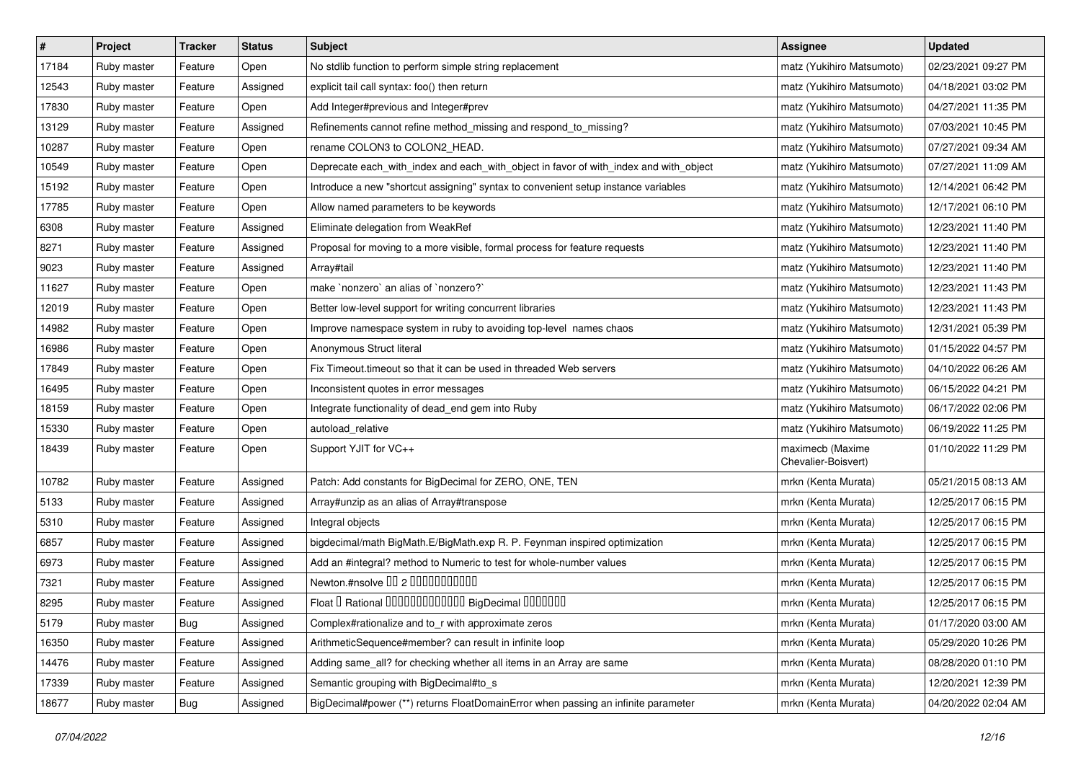| $\vert$ # | Project     | <b>Tracker</b> | <b>Status</b> | <b>Subject</b>                                                                        | <b>Assignee</b>                         | <b>Updated</b>      |
|-----------|-------------|----------------|---------------|---------------------------------------------------------------------------------------|-----------------------------------------|---------------------|
| 17184     | Ruby master | Feature        | Open          | No stdlib function to perform simple string replacement                               | matz (Yukihiro Matsumoto)               | 02/23/2021 09:27 PM |
| 12543     | Ruby master | Feature        | Assigned      | explicit tail call syntax: foo() then return                                          | matz (Yukihiro Matsumoto)               | 04/18/2021 03:02 PM |
| 17830     | Ruby master | Feature        | Open          | Add Integer#previous and Integer#prev                                                 | matz (Yukihiro Matsumoto)               | 04/27/2021 11:35 PM |
| 13129     | Ruby master | Feature        | Assigned      | Refinements cannot refine method_missing and respond_to_missing?                      | matz (Yukihiro Matsumoto)               | 07/03/2021 10:45 PM |
| 10287     | Ruby master | Feature        | Open          | rename COLON3 to COLON2_HEAD.                                                         | matz (Yukihiro Matsumoto)               | 07/27/2021 09:34 AM |
| 10549     | Ruby master | Feature        | Open          | Deprecate each_with_index and each_with_object in favor of with_index and with_object | matz (Yukihiro Matsumoto)               | 07/27/2021 11:09 AM |
| 15192     | Ruby master | Feature        | Open          | Introduce a new "shortcut assigning" syntax to convenient setup instance variables    | matz (Yukihiro Matsumoto)               | 12/14/2021 06:42 PM |
| 17785     | Ruby master | Feature        | Open          | Allow named parameters to be keywords                                                 | matz (Yukihiro Matsumoto)               | 12/17/2021 06:10 PM |
| 6308      | Ruby master | Feature        | Assigned      | Eliminate delegation from WeakRef                                                     | matz (Yukihiro Matsumoto)               | 12/23/2021 11:40 PM |
| 8271      | Ruby master | Feature        | Assigned      | Proposal for moving to a more visible, formal process for feature requests            | matz (Yukihiro Matsumoto)               | 12/23/2021 11:40 PM |
| 9023      | Ruby master | Feature        | Assigned      | Array#tail                                                                            | matz (Yukihiro Matsumoto)               | 12/23/2021 11:40 PM |
| 11627     | Ruby master | Feature        | Open          | make `nonzero` an alias of `nonzero?`                                                 | matz (Yukihiro Matsumoto)               | 12/23/2021 11:43 PM |
| 12019     | Ruby master | Feature        | Open          | Better low-level support for writing concurrent libraries                             | matz (Yukihiro Matsumoto)               | 12/23/2021 11:43 PM |
| 14982     | Ruby master | Feature        | Open          | Improve namespace system in ruby to avoiding top-level names chaos                    | matz (Yukihiro Matsumoto)               | 12/31/2021 05:39 PM |
| 16986     | Ruby master | Feature        | Open          | Anonymous Struct literal                                                              | matz (Yukihiro Matsumoto)               | 01/15/2022 04:57 PM |
| 17849     | Ruby master | Feature        | Open          | Fix Timeout.timeout so that it can be used in threaded Web servers                    | matz (Yukihiro Matsumoto)               | 04/10/2022 06:26 AM |
| 16495     | Ruby master | Feature        | Open          | Inconsistent quotes in error messages                                                 | matz (Yukihiro Matsumoto)               | 06/15/2022 04:21 PM |
| 18159     | Ruby master | Feature        | Open          | Integrate functionality of dead_end gem into Ruby                                     | matz (Yukihiro Matsumoto)               | 06/17/2022 02:06 PM |
| 15330     | Ruby master | Feature        | Open          | autoload relative                                                                     | matz (Yukihiro Matsumoto)               | 06/19/2022 11:25 PM |
| 18439     | Ruby master | Feature        | Open          | Support YJIT for VC++                                                                 | maximecb (Maxime<br>Chevalier-Boisvert) | 01/10/2022 11:29 PM |
| 10782     | Ruby master | Feature        | Assigned      | Patch: Add constants for BigDecimal for ZERO, ONE, TEN                                | mrkn (Kenta Murata)                     | 05/21/2015 08:13 AM |
| 5133      | Ruby master | Feature        | Assigned      | Array#unzip as an alias of Array#transpose                                            | mrkn (Kenta Murata)                     | 12/25/2017 06:15 PM |
| 5310      | Ruby master | Feature        | Assigned      | Integral objects                                                                      | mrkn (Kenta Murata)                     | 12/25/2017 06:15 PM |
| 6857      | Ruby master | Feature        | Assigned      | bigdecimal/math BigMath.E/BigMath.exp R. P. Feynman inspired optimization             | mrkn (Kenta Murata)                     | 12/25/2017 06:15 PM |
| 6973      | Ruby master | Feature        | Assigned      | Add an #integral? method to Numeric to test for whole-number values                   | mrkn (Kenta Murata)                     | 12/25/2017 06:15 PM |
| 7321      | Ruby master | Feature        | Assigned      | Newton.#nsolve 00 2 0000000000                                                        | mrkn (Kenta Murata)                     | 12/25/2017 06:15 PM |
| 8295      | Ruby master | Feature        | Assigned      | Float I Rational 0000000000000 BigDecimal 0000000                                     | mrkn (Kenta Murata)                     | 12/25/2017 06:15 PM |
| 5179      | Ruby master | <b>Bug</b>     | Assigned      | Complex#rationalize and to r with approximate zeros                                   | mrkn (Kenta Murata)                     | 01/17/2020 03:00 AM |
| 16350     | Ruby master | Feature        | Assigned      | ArithmeticSequence#member? can result in infinite loop                                | mrkn (Kenta Murata)                     | 05/29/2020 10:26 PM |
| 14476     | Ruby master | Feature        | Assigned      | Adding same_all? for checking whether all items in an Array are same                  | mrkn (Kenta Murata)                     | 08/28/2020 01:10 PM |
| 17339     | Ruby master | Feature        | Assigned      | Semantic grouping with BigDecimal#to_s                                                | mrkn (Kenta Murata)                     | 12/20/2021 12:39 PM |
| 18677     | Ruby master | Bug            | Assigned      | BigDecimal#power (**) returns FloatDomainError when passing an infinite parameter     | mrkn (Kenta Murata)                     | 04/20/2022 02:04 AM |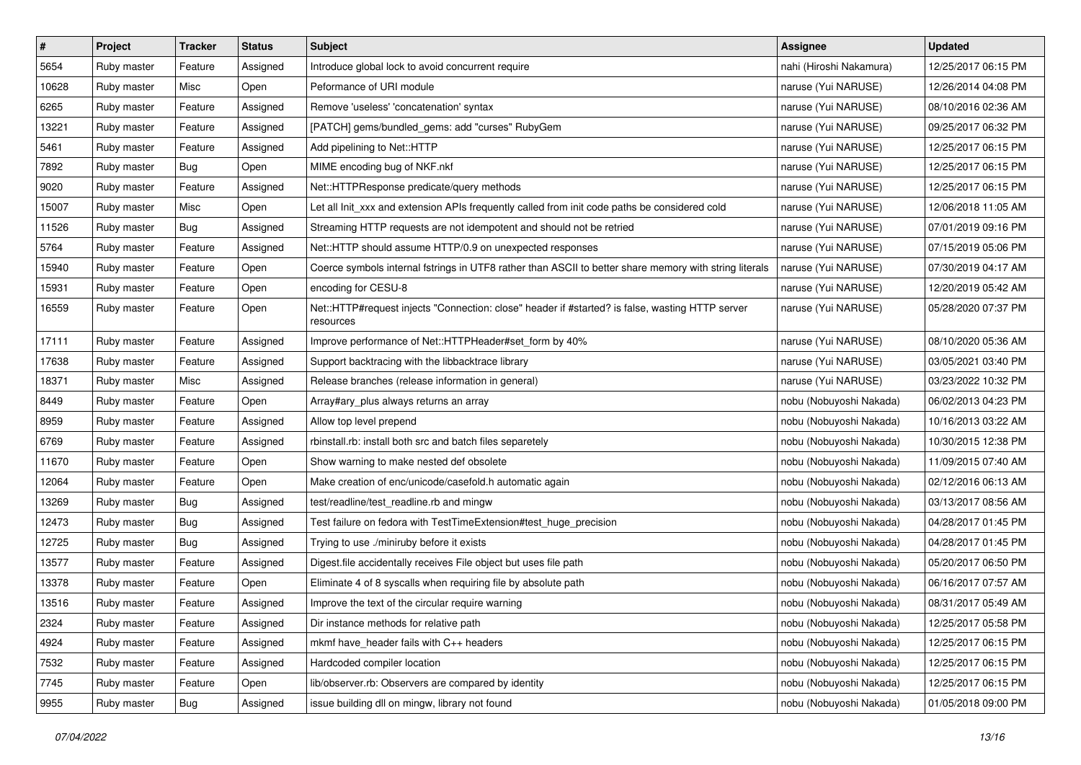| $\pmb{\#}$ | Project     | <b>Tracker</b> | <b>Status</b> | <b>Subject</b>                                                                                               | <b>Assignee</b>         | <b>Updated</b>      |
|------------|-------------|----------------|---------------|--------------------------------------------------------------------------------------------------------------|-------------------------|---------------------|
| 5654       | Ruby master | Feature        | Assigned      | Introduce global lock to avoid concurrent require                                                            | nahi (Hiroshi Nakamura) | 12/25/2017 06:15 PM |
| 10628      | Ruby master | Misc           | Open          | Peformance of URI module                                                                                     | naruse (Yui NARUSE)     | 12/26/2014 04:08 PM |
| 6265       | Ruby master | Feature        | Assigned      | Remove 'useless' 'concatenation' syntax                                                                      | naruse (Yui NARUSE)     | 08/10/2016 02:36 AM |
| 13221      | Ruby master | Feature        | Assigned      | [PATCH] gems/bundled_gems: add "curses" RubyGem                                                              | naruse (Yui NARUSE)     | 09/25/2017 06:32 PM |
| 5461       | Ruby master | Feature        | Assigned      | Add pipelining to Net::HTTP                                                                                  | naruse (Yui NARUSE)     | 12/25/2017 06:15 PM |
| 7892       | Ruby master | Bug            | Open          | MIME encoding bug of NKF.nkf                                                                                 | naruse (Yui NARUSE)     | 12/25/2017 06:15 PM |
| 9020       | Ruby master | Feature        | Assigned      | Net::HTTPResponse predicate/query methods                                                                    | naruse (Yui NARUSE)     | 12/25/2017 06:15 PM |
| 15007      | Ruby master | Misc           | Open          | Let all Init_xxx and extension APIs frequently called from init code paths be considered cold                | naruse (Yui NARUSE)     | 12/06/2018 11:05 AM |
| 11526      | Ruby master | <b>Bug</b>     | Assigned      | Streaming HTTP requests are not idempotent and should not be retried                                         | naruse (Yui NARUSE)     | 07/01/2019 09:16 PM |
| 5764       | Ruby master | Feature        | Assigned      | Net::HTTP should assume HTTP/0.9 on unexpected responses                                                     | naruse (Yui NARUSE)     | 07/15/2019 05:06 PM |
| 15940      | Ruby master | Feature        | Open          | Coerce symbols internal fstrings in UTF8 rather than ASCII to better share memory with string literals       | naruse (Yui NARUSE)     | 07/30/2019 04:17 AM |
| 15931      | Ruby master | Feature        | Open          | encoding for CESU-8                                                                                          | naruse (Yui NARUSE)     | 12/20/2019 05:42 AM |
| 16559      | Ruby master | Feature        | Open          | Net::HTTP#request injects "Connection: close" header if #started? is false, wasting HTTP server<br>resources | naruse (Yui NARUSE)     | 05/28/2020 07:37 PM |
| 17111      | Ruby master | Feature        | Assigned      | Improve performance of Net::HTTPHeader#set_form by 40%                                                       | naruse (Yui NARUSE)     | 08/10/2020 05:36 AM |
| 17638      | Ruby master | Feature        | Assigned      | Support backtracing with the libbacktrace library                                                            | naruse (Yui NARUSE)     | 03/05/2021 03:40 PM |
| 18371      | Ruby master | Misc           | Assigned      | Release branches (release information in general)                                                            | naruse (Yui NARUSE)     | 03/23/2022 10:32 PM |
| 8449       | Ruby master | Feature        | Open          | Array#ary plus always returns an array                                                                       | nobu (Nobuyoshi Nakada) | 06/02/2013 04:23 PM |
| 8959       | Ruby master | Feature        | Assigned      | Allow top level prepend                                                                                      | nobu (Nobuyoshi Nakada) | 10/16/2013 03:22 AM |
| 6769       | Ruby master | Feature        | Assigned      | rbinstall.rb: install both src and batch files separetely                                                    | nobu (Nobuyoshi Nakada) | 10/30/2015 12:38 PM |
| 11670      | Ruby master | Feature        | Open          | Show warning to make nested def obsolete                                                                     | nobu (Nobuyoshi Nakada) | 11/09/2015 07:40 AM |
| 12064      | Ruby master | Feature        | Open          | Make creation of enc/unicode/casefold.h automatic again                                                      | nobu (Nobuyoshi Nakada) | 02/12/2016 06:13 AM |
| 13269      | Ruby master | Bug            | Assigned      | test/readline/test_readline.rb and mingw                                                                     | nobu (Nobuyoshi Nakada) | 03/13/2017 08:56 AM |
| 12473      | Ruby master | <b>Bug</b>     | Assigned      | Test failure on fedora with TestTimeExtension#test_huge_precision                                            | nobu (Nobuyoshi Nakada) | 04/28/2017 01:45 PM |
| 12725      | Ruby master | <b>Bug</b>     | Assigned      | Trying to use ./miniruby before it exists                                                                    | nobu (Nobuyoshi Nakada) | 04/28/2017 01:45 PM |
| 13577      | Ruby master | Feature        | Assigned      | Digest.file accidentally receives File object but uses file path                                             | nobu (Nobuyoshi Nakada) | 05/20/2017 06:50 PM |
| 13378      | Ruby master | Feature        | Open          | Eliminate 4 of 8 syscalls when requiring file by absolute path                                               | nobu (Nobuyoshi Nakada) | 06/16/2017 07:57 AM |
| 13516      | Ruby master | Feature        | Assigned      | Improve the text of the circular require warning                                                             | nobu (Nobuyoshi Nakada) | 08/31/2017 05:49 AM |
| 2324       | Ruby master | Feature        | Assigned      | Dir instance methods for relative path                                                                       | nobu (Nobuyoshi Nakada) | 12/25/2017 05:58 PM |
| 4924       | Ruby master | Feature        | Assigned      | mkmf have_header fails with C++ headers                                                                      | nobu (Nobuyoshi Nakada) | 12/25/2017 06:15 PM |
| 7532       | Ruby master | Feature        | Assigned      | Hardcoded compiler location                                                                                  | nobu (Nobuyoshi Nakada) | 12/25/2017 06:15 PM |
| 7745       | Ruby master | Feature        | Open          | lib/observer.rb: Observers are compared by identity                                                          | nobu (Nobuyoshi Nakada) | 12/25/2017 06:15 PM |
| 9955       | Ruby master | Bug            | Assigned      | issue building dll on mingw, library not found                                                               | nobu (Nobuyoshi Nakada) | 01/05/2018 09:00 PM |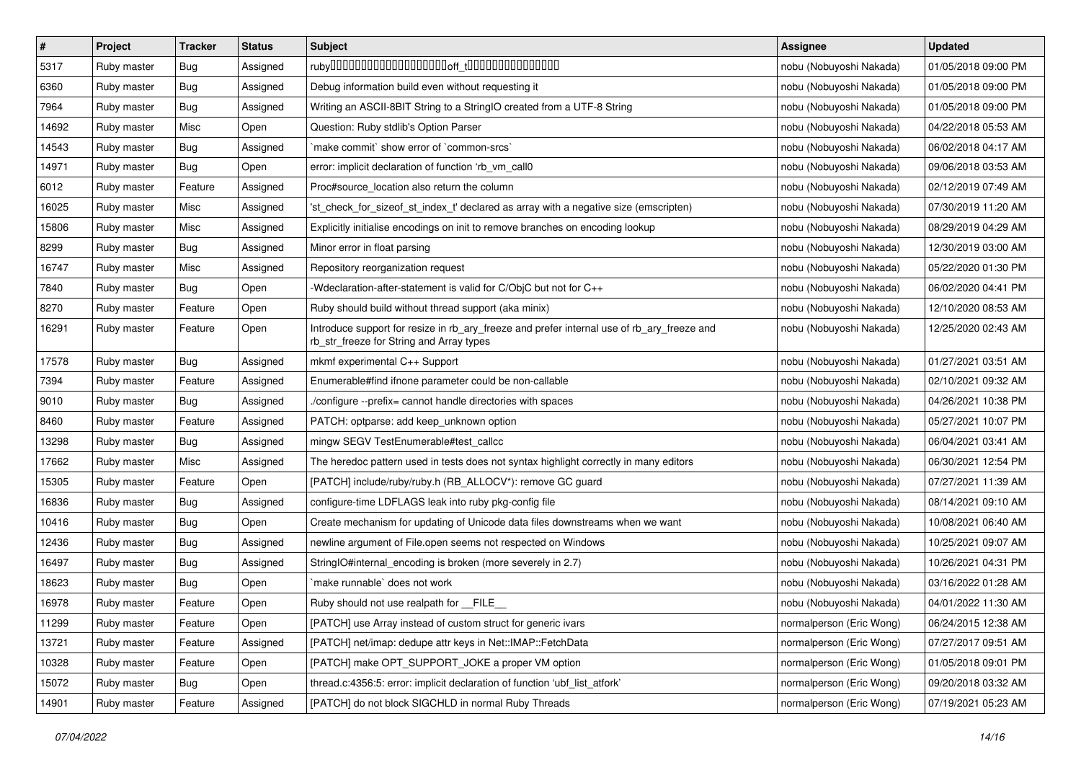| $\pmb{\#}$ | Project     | <b>Tracker</b> | <b>Status</b> | <b>Subject</b>                                                                                                                         | <b>Assignee</b>          | <b>Updated</b>      |
|------------|-------------|----------------|---------------|----------------------------------------------------------------------------------------------------------------------------------------|--------------------------|---------------------|
| 5317       | Ruby master | Bug            | Assigned      |                                                                                                                                        | nobu (Nobuyoshi Nakada)  | 01/05/2018 09:00 PM |
| 6360       | Ruby master | Bug            | Assigned      | Debug information build even without requesting it                                                                                     | nobu (Nobuyoshi Nakada)  | 01/05/2018 09:00 PM |
| 7964       | Ruby master | Bug            | Assigned      | Writing an ASCII-8BIT String to a StringIO created from a UTF-8 String                                                                 | nobu (Nobuyoshi Nakada)  | 01/05/2018 09:00 PM |
| 14692      | Ruby master | Misc           | Open          | Question: Ruby stdlib's Option Parser                                                                                                  | nobu (Nobuyoshi Nakada)  | 04/22/2018 05:53 AM |
| 14543      | Ruby master | Bug            | Assigned      | `make commit` show error of `common-srcs`                                                                                              | nobu (Nobuyoshi Nakada)  | 06/02/2018 04:17 AM |
| 14971      | Ruby master | Bug            | Open          | error: implicit declaration of function 'rb vm call0                                                                                   | nobu (Nobuyoshi Nakada)  | 09/06/2018 03:53 AM |
| 6012       | Ruby master | Feature        | Assigned      | Proc#source_location also return the column                                                                                            | nobu (Nobuyoshi Nakada)  | 02/12/2019 07:49 AM |
| 16025      | Ruby master | Misc           | Assigned      | 'st check for sizeof st index t' declared as array with a negative size (emscripten)                                                   | nobu (Nobuyoshi Nakada)  | 07/30/2019 11:20 AM |
| 15806      | Ruby master | Misc           | Assigned      | Explicitly initialise encodings on init to remove branches on encoding lookup                                                          | nobu (Nobuyoshi Nakada)  | 08/29/2019 04:29 AM |
| 8299       | Ruby master | <b>Bug</b>     | Assigned      | Minor error in float parsing                                                                                                           | nobu (Nobuyoshi Nakada)  | 12/30/2019 03:00 AM |
| 16747      | Ruby master | Misc           | Assigned      | Repository reorganization request                                                                                                      | nobu (Nobuyoshi Nakada)  | 05/22/2020 01:30 PM |
| 7840       | Ruby master | Bug            | Open          | -Wdeclaration-after-statement is valid for C/ObjC but not for C++                                                                      | nobu (Nobuyoshi Nakada)  | 06/02/2020 04:41 PM |
| 8270       | Ruby master | Feature        | Open          | Ruby should build without thread support (aka minix)                                                                                   | nobu (Nobuyoshi Nakada)  | 12/10/2020 08:53 AM |
| 16291      | Ruby master | Feature        | Open          | Introduce support for resize in rb_ary_freeze and prefer internal use of rb_ary_freeze and<br>rb_str_freeze for String and Array types | nobu (Nobuyoshi Nakada)  | 12/25/2020 02:43 AM |
| 17578      | Ruby master | Bug            | Assigned      | mkmf experimental C++ Support                                                                                                          | nobu (Nobuyoshi Nakada)  | 01/27/2021 03:51 AM |
| 7394       | Ruby master | Feature        | Assigned      | Enumerable#find ifnone parameter could be non-callable                                                                                 | nobu (Nobuyoshi Nakada)  | 02/10/2021 09:32 AM |
| 9010       | Ruby master | Bug            | Assigned      | ./configure --prefix= cannot handle directories with spaces                                                                            | nobu (Nobuyoshi Nakada)  | 04/26/2021 10:38 PM |
| 8460       | Ruby master | Feature        | Assigned      | PATCH: optparse: add keep_unknown option                                                                                               | nobu (Nobuyoshi Nakada)  | 05/27/2021 10:07 PM |
| 13298      | Ruby master | Bug            | Assigned      | mingw SEGV TestEnumerable#test_callcc                                                                                                  | nobu (Nobuyoshi Nakada)  | 06/04/2021 03:41 AM |
| 17662      | Ruby master | Misc           | Assigned      | The heredoc pattern used in tests does not syntax highlight correctly in many editors                                                  | nobu (Nobuyoshi Nakada)  | 06/30/2021 12:54 PM |
| 15305      | Ruby master | Feature        | Open          | [PATCH] include/ruby/ruby.h (RB_ALLOCV*): remove GC guard                                                                              | nobu (Nobuyoshi Nakada)  | 07/27/2021 11:39 AM |
| 16836      | Ruby master | Bug            | Assigned      | configure-time LDFLAGS leak into ruby pkg-config file                                                                                  | nobu (Nobuyoshi Nakada)  | 08/14/2021 09:10 AM |
| 10416      | Ruby master | <b>Bug</b>     | Open          | Create mechanism for updating of Unicode data files downstreams when we want                                                           | nobu (Nobuyoshi Nakada)  | 10/08/2021 06:40 AM |
| 12436      | Ruby master | Bug            | Assigned      | newline argument of File.open seems not respected on Windows                                                                           | nobu (Nobuyoshi Nakada)  | 10/25/2021 09:07 AM |
| 16497      | Ruby master | Bug            | Assigned      | StringIO#internal_encoding is broken (more severely in 2.7)                                                                            | nobu (Nobuyoshi Nakada)  | 10/26/2021 04:31 PM |
| 18623      | Ruby master | Bug            | Open          | `make runnable` does not work                                                                                                          | nobu (Nobuyoshi Nakada)  | 03/16/2022 01:28 AM |
| 16978      | Ruby master | Feature        | Open          | Ruby should not use realpath for __FILE__                                                                                              | nobu (Nobuyoshi Nakada)  | 04/01/2022 11:30 AM |
| 11299      | Ruby master | Feature        | Open          | [PATCH] use Array instead of custom struct for generic ivars                                                                           | normalperson (Eric Wong) | 06/24/2015 12:38 AM |
| 13721      | Ruby master | Feature        | Assigned      | [PATCH] net/imap: dedupe attr keys in Net::IMAP::FetchData                                                                             | normalperson (Eric Wong) | 07/27/2017 09:51 AM |
| 10328      | Ruby master | Feature        | Open          | [PATCH] make OPT_SUPPORT_JOKE a proper VM option                                                                                       | normalperson (Eric Wong) | 01/05/2018 09:01 PM |
| 15072      | Ruby master | <b>Bug</b>     | Open          | thread.c:4356:5: error: implicit declaration of function 'ubf_list_atfork'                                                             | normalperson (Eric Wong) | 09/20/2018 03:32 AM |
| 14901      | Ruby master | Feature        | Assigned      | [PATCH] do not block SIGCHLD in normal Ruby Threads                                                                                    | normalperson (Eric Wong) | 07/19/2021 05:23 AM |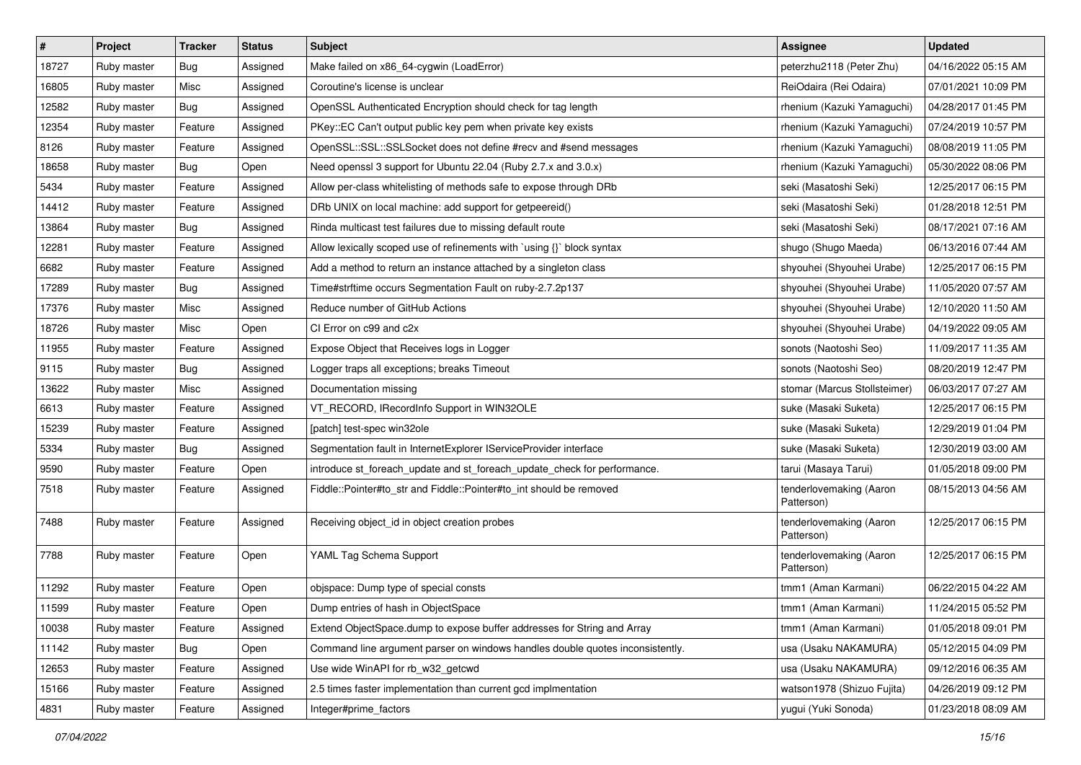| $\sharp$ | Project     | Tracker | <b>Status</b> | <b>Subject</b>                                                                | <b>Assignee</b>                       | <b>Updated</b>      |
|----------|-------------|---------|---------------|-------------------------------------------------------------------------------|---------------------------------------|---------------------|
| 18727    | Ruby master | Bug     | Assigned      | Make failed on x86_64-cygwin (LoadError)                                      | peterzhu2118 (Peter Zhu)              | 04/16/2022 05:15 AM |
| 16805    | Ruby master | Misc    | Assigned      | Coroutine's license is unclear                                                | ReiOdaira (Rei Odaira)                | 07/01/2021 10:09 PM |
| 12582    | Ruby master | Bug     | Assigned      | OpenSSL Authenticated Encryption should check for tag length                  | rhenium (Kazuki Yamaguchi)            | 04/28/2017 01:45 PM |
| 12354    | Ruby master | Feature | Assigned      | PKey::EC Can't output public key pem when private key exists                  | rhenium (Kazuki Yamaguchi)            | 07/24/2019 10:57 PM |
| 8126     | Ruby master | Feature | Assigned      | OpenSSL::SSL::SSLSocket does not define #recv and #send messages              | rhenium (Kazuki Yamaguchi)            | 08/08/2019 11:05 PM |
| 18658    | Ruby master | Bug     | Open          | Need openssl 3 support for Ubuntu 22.04 (Ruby 2.7.x and 3.0.x)                | rhenium (Kazuki Yamaguchi)            | 05/30/2022 08:06 PM |
| 5434     | Ruby master | Feature | Assigned      | Allow per-class whitelisting of methods safe to expose through DRb            | seki (Masatoshi Seki)                 | 12/25/2017 06:15 PM |
| 14412    | Ruby master | Feature | Assigned      | DRb UNIX on local machine: add support for getpeereid()                       | seki (Masatoshi Seki)                 | 01/28/2018 12:51 PM |
| 13864    | Ruby master | Bug     | Assigned      | Rinda multicast test failures due to missing default route                    | seki (Masatoshi Seki)                 | 08/17/2021 07:16 AM |
| 12281    | Ruby master | Feature | Assigned      | Allow lexically scoped use of refinements with `using {}` block syntax        | shugo (Shugo Maeda)                   | 06/13/2016 07:44 AM |
| 6682     | Ruby master | Feature | Assigned      | Add a method to return an instance attached by a singleton class              | shyouhei (Shyouhei Urabe)             | 12/25/2017 06:15 PM |
| 17289    | Ruby master | Bug     | Assigned      | Time#strftime occurs Segmentation Fault on ruby-2.7.2p137                     | shyouhei (Shyouhei Urabe)             | 11/05/2020 07:57 AM |
| 17376    | Ruby master | Misc    | Assigned      | Reduce number of GitHub Actions                                               | shyouhei (Shyouhei Urabe)             | 12/10/2020 11:50 AM |
| 18726    | Ruby master | Misc    | Open          | CI Error on c99 and c2x                                                       | shyouhei (Shyouhei Urabe)             | 04/19/2022 09:05 AM |
| 11955    | Ruby master | Feature | Assigned      | Expose Object that Receives logs in Logger                                    | sonots (Naotoshi Seo)                 | 11/09/2017 11:35 AM |
| 9115     | Ruby master | Bug     | Assigned      | Logger traps all exceptions; breaks Timeout                                   | sonots (Naotoshi Seo)                 | 08/20/2019 12:47 PM |
| 13622    | Ruby master | Misc    | Assigned      | Documentation missing                                                         | stomar (Marcus Stollsteimer)          | 06/03/2017 07:27 AM |
| 6613     | Ruby master | Feature | Assigned      | VT_RECORD, IRecordInfo Support in WIN32OLE                                    | suke (Masaki Suketa)                  | 12/25/2017 06:15 PM |
| 15239    | Ruby master | Feature | Assigned      | [patch] test-spec win32ole                                                    | suke (Masaki Suketa)                  | 12/29/2019 01:04 PM |
| 5334     | Ruby master | Bug     | Assigned      | Segmentation fault in InternetExplorer IServiceProvider interface             | suke (Masaki Suketa)                  | 12/30/2019 03:00 AM |
| 9590     | Ruby master | Feature | Open          | introduce st_foreach_update and st_foreach_update_check for performance.      | tarui (Masaya Tarui)                  | 01/05/2018 09:00 PM |
| 7518     | Ruby master | Feature | Assigned      | Fiddle::Pointer#to_str and Fiddle::Pointer#to_int should be removed           | tenderlovemaking (Aaron<br>Patterson) | 08/15/2013 04:56 AM |
| 7488     | Ruby master | Feature | Assigned      | Receiving object_id in object creation probes                                 | tenderlovemaking (Aaron<br>Patterson) | 12/25/2017 06:15 PM |
| 7788     | Ruby master | Feature | Open          | YAML Tag Schema Support                                                       | tenderlovemaking (Aaron<br>Patterson) | 12/25/2017 06:15 PM |
| 11292    | Ruby master | Feature | Open          | objspace: Dump type of special consts                                         | tmm1 (Aman Karmani)                   | 06/22/2015 04:22 AM |
| 11599    | Ruby master | Feature | Open          | Dump entries of hash in ObjectSpace                                           | tmm1 (Aman Karmani)                   | 11/24/2015 05:52 PM |
| 10038    | Ruby master | Feature | Assigned      | Extend ObjectSpace.dump to expose buffer addresses for String and Array       | tmm1 (Aman Karmani)                   | 01/05/2018 09:01 PM |
| 11142    | Ruby master | Bug     | Open          | Command line argument parser on windows handles double quotes inconsistently. | usa (Usaku NAKAMURA)                  | 05/12/2015 04:09 PM |
| 12653    | Ruby master | Feature | Assigned      | Use wide WinAPI for rb_w32_getcwd                                             | usa (Usaku NAKAMURA)                  | 09/12/2016 06:35 AM |
| 15166    | Ruby master | Feature | Assigned      | 2.5 times faster implementation than current gcd implmentation                | watson1978 (Shizuo Fujita)            | 04/26/2019 09:12 PM |
| 4831     | Ruby master | Feature | Assigned      | Integer#prime_factors                                                         | yugui (Yuki Sonoda)                   | 01/23/2018 08:09 AM |